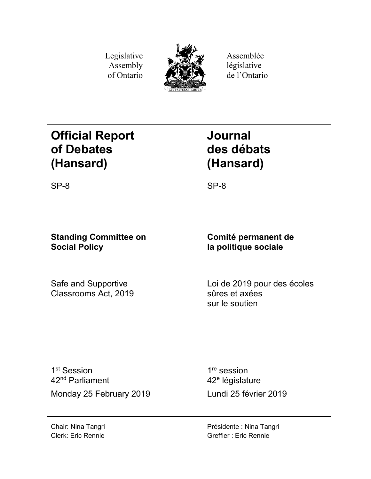Legislative Assembly of Ontario



Assemblée législative de l'Ontario

# **Official Report of Debates (Hansard)**

# **Journal des débats (Hansard)**

SP-8 SP-8

## **Standing Committee on Social Policy**

Safe and Supportive Classrooms Act, 2019

**Comité permanent de la politique sociale**

Loi de 2019 pour des écoles sûres et axées sur le soutien

1<sup>st</sup> Session 42nd Parliament Monday 25 February 2019 Lundi 25 février 2019

1<sup>re</sup> session 42<sup>e</sup> législature

Chair: Nina Tangri Clerk: Eric Rennie Présidente : Nina Tangri Greffier : Eric Rennie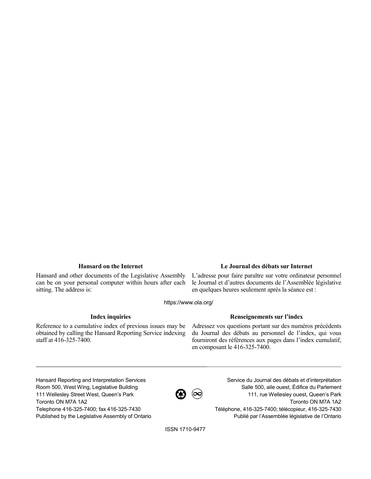Hansard and other documents of the Legislative Assembly can be on your personal computer within hours after each sitting. The address is:

### **Hansard on the Internet Le Journal des débats sur Internet**

L'adresse pour faire paraître sur votre ordinateur personnel le Journal et d'autres documents de l'Assemblée législative en quelques heures seulement après la séance est :

https://www.ola.org/

Reference to a cumulative index of previous issues may be obtained by calling the Hansard Reporting Service indexing staff at 416-325-7400.

### **Index inquiries Renseignements sur l'index**

Adressez vos questions portant sur des numéros précédents du Journal des débats au personnel de l'index, qui vous fourniront des références aux pages dans l'index cumulatif, en composant le 416-325-7400.

Hansard Reporting and Interpretation Services Room 500, West Wing, Legislative Building 111 Wellesley Street West, Queen's Park Toronto ON M7A 1A2 Telephone 416-325-7400; fax 416-325-7430 Published by the Legislative Assembly of Ontario

 $\bigcircled{B}$   $\circledcirc$ 

Service du Journal des débats et d'interprétation Salle 500, aile ouest, Édifice du Parlement 111, rue Wellesley ouest, Queen's Park Toronto ON M7A 1A2 Téléphone, 416-325-7400; télécopieur, 416-325-7430 Publié par l'Assemblée législative de l'Ontario

ISSN 1710-9477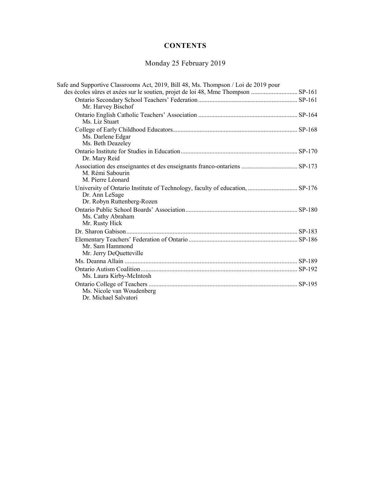## **CONTENTS**

## Monday 25 February 2019

| Safe and Supportive Classrooms Act, 2019, Bill 48, Ms. Thompson / Loi de 2019 pour                                           |  |
|------------------------------------------------------------------------------------------------------------------------------|--|
|                                                                                                                              |  |
| Mr. Harvey Bischof                                                                                                           |  |
| Ms. Liz Stuart                                                                                                               |  |
| Ms. Darlene Edgar<br>Ms. Beth Deazeley                                                                                       |  |
| Dr. Mary Reid                                                                                                                |  |
| M. Rémi Sabourin<br>M. Pierre Léonard                                                                                        |  |
| University of Ontario Institute of Technology, faculty of education,  SP-176<br>Dr. Ann LeSage<br>Dr. Robyn Ruttenberg-Rozen |  |
| Ms. Cathy Abraham<br>Mr. Rusty Hick                                                                                          |  |
|                                                                                                                              |  |
| Mr. Sam Hammond<br>Mr. Jerry DeQuetteville                                                                                   |  |
|                                                                                                                              |  |
| Ms. Laura Kirby-McIntosh                                                                                                     |  |
| Ms. Nicole van Woudenberg<br>Dr. Michael Salvatori                                                                           |  |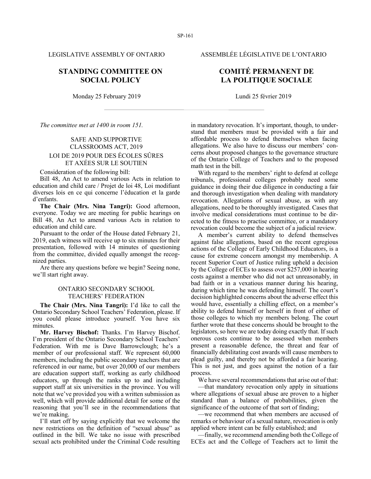### **STANDING COMMITTEE ON SOCIAL POLICY**

Monday 25 February 2019 Lundi 25 février 2019

*The committee met at 1400 in room 151.*

### SAFE AND SUPPORTIVE CLASSROOMS ACT, 2019 LOI DE 2019 POUR DES ÉCOLES SÛRES ET AXÉES SUR LE SOUTIEN

Consideration of the following bill:

Bill 48, An Act to amend various Acts in relation to education and child care / Projet de loi 48, Loi modifiant diverses lois en ce qui concerne l'éducation et la garde d'enfants.

**The Chair (Mrs. Nina Tangri):** Good afternoon, everyone. Today we are meeting for public hearings on Bill 48, An Act to amend various Acts in relation to education and child care.

Pursuant to the order of the House dated February 21, 2019, each witness will receive up to six minutes for their presentation, followed with 14 minutes of questioning from the committee, divided equally amongst the recognized parties.

Are there any questions before we begin? Seeing none, we'll start right away.

### ONTARIO SECONDARY SCHOOL TEACHERS' FEDERATION

**The Chair (Mrs. Nina Tangri):** I'd like to call the Ontario Secondary School Teachers' Federation, please. If you could please introduce yourself. You have six minutes.

**Mr. Harvey Bischof:** Thanks. I'm Harvey Bischof. I'm president of the Ontario Secondary School Teachers' Federation. With me is Dave Barrowclough; he's a member of our professional staff. We represent 60,000 members, including the public secondary teachers that are referenced in our name, but over 20,000 of our members are education support staff, working as early childhood educators, up through the ranks up to and including support staff at six universities in the province. You will note that we've provided you with a written submission as well, which will provide additional detail for some of the reasoning that you'll see in the recommendations that we're making.

I'll start off by saying explicitly that we welcome the new restrictions on the definition of "sexual abuse" as outlined in the bill. We take no issue with prescribed sexual acts prohibited under the Criminal Code resulting

LEGISLATIVE ASSEMBLY OF ONTARIO ASSEMBLÉE LÉGISLATIVE DE L'ONTARIO

### **COMITÉ PERMANENT DE LA POLITIQUE SOCIALE**

in mandatory revocation. It's important, though, to understand that members must be provided with a fair and affordable process to defend themselves when facing allegations. We also have to discuss our members' concerns about proposed changes to the governance structure of the Ontario College of Teachers and to the proposed math test in the bill.

With regard to the members' right to defend at college tribunals, professional colleges probably need some guidance in doing their due diligence in conducting a fair and thorough investigation when dealing with mandatory revocation. Allegations of sexual abuse, as with any allegations, need to be thoroughly investigated. Cases that involve medical considerations must continue to be directed to the fitness to practise committee, or a mandatory revocation could become the subject of a judicial review.

A member's current ability to defend themselves against false allegations, based on the recent egregious actions of the College of Early Childhood Educators, is a cause for extreme concern amongst my membership. A recent Superior Court of Justice ruling upheld a decision by the College of ECEs to assess over \$257,000 in hearing costs against a member who did not act unreasonably, in bad faith or in a vexatious manner during his hearing, during which time he was defending himself. The court's decision highlighted concerns about the adverse effect this would have, essentially a chilling effect, on a member's ability to defend himself or herself in front of either of those colleges to which my members belong. The court further wrote that these concerns should be brought to the legislators, so here we are today doing exactly that. If such onerous costs continue to be assessed when members present a reasonable defence, the threat and fear of financially debilitating cost awards will cause members to plead guilty, and thereby not be afforded a fair hearing. This is not just, and goes against the notion of a fair process.

We have several recommendations that arise out of that:

—that mandatory revocation only apply in situations where allegations of sexual abuse are proven to a higher standard than a balance of probabilities, given the significance of the outcome of that sort of finding;

—we recommend that when members are accused of remarks or behaviour of a sexual nature, revocation is only applied where intent can be fully established; and

—finally, we recommend amending both the College of ECEs act and the College of Teachers act to limit the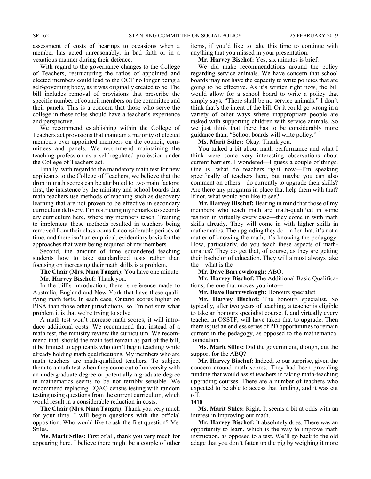assessment of costs of hearings to occasions when a member has acted unreasonably, in bad faith or in a vexatious manner during their defence.

With regard to the governance changes to the College of Teachers, restructuring the ratios of appointed and elected members could lead to the OCT no longer being a self-governing body, as it was originally created to be. The bill includes removal of provisions that prescribe the specific number of council members on the committee and their panels. This is a concern that those who serve the college in these roles should have a teacher's experience and perspective.

We recommend establishing within the College of Teachers act provisions that maintain a majority of elected members over appointed members on the council, committees and panels. We recommend maintaining the teaching profession as a self-regulated profession under the College of Teachers act.

Finally, with regard to the mandatory math test for new applicants to the College of Teachers, we believe that the drop in math scores can be attributed to two main factors: first, the insistence by the ministry and school boards that math teachers use methods of teaching such as discovery learning that are not proven to be effective in secondary curriculum delivery. I'm restricting my remarks to secondary curriculum here, where my members teach. Training to implement these methods resulted in teachers being removed from their classrooms for considerable periods of time, and there isn't an empirical, evidentiary basis for the approaches that were being required of my members.

Second, the amount of time squandered teaching students how to take standardized tests rather than focusing on increasing their math skills is a problem.

**The Chair (Mrs. Nina Tangri):** You have one minute. **Mr. Harvey Bischof:** Thank you.

In the bill's introduction, there is reference made to Australia, England and New York that have these qualifying math tests. In each case, Ontario scores higher on PISA than those other jurisdictions, so I'm not sure what problem it is that we're trying to solve.

A math test won't increase math scores; it will introduce additional costs. We recommend that instead of a math test, the ministry review the curriculum. We recommend that, should the math test remain as part of the bill, it be limited to applicants who don't begin teaching while already holding math qualifications. My members who are math teachers are math-qualified teachers. To subject them to a math test when they come out of university with an undergraduate degree or potentially a graduate degree in mathematics seems to be not terribly sensible. We recommend replacing EQAO census testing with random testing using questions from the current curriculum, which would result in a considerable reduction in costs.

**The Chair (Mrs. Nina Tangri):** Thank you very much for your time. I will begin questions with the official opposition. Who would like to ask the first question? Ms. Stiles.

**Ms. Marit Stiles:** First of all, thank you very much for appearing here. I believe there might be a couple of other items, if you'd like to take this time to continue with anything that you missed in your presentation.

**Mr. Harvey Bischof:** Yes, six minutes is brief.

We did make recommendations around the policy regarding service animals. We have concern that school boards may not have the capacity to write policies that are going to be effective. As it's written right now, the bill would allow for a school board to write a policy that simply says, "There shall be no service animals." I don't think that's the intent of the bill. Or it could go wrong in a variety of other ways where inappropriate people are tasked with supporting children with service animals. So we just think that there has to be considerably more guidance than, "School boards will write policy."

**Ms. Marit Stiles:** Okay. Thank you.

You talked a bit about math performance and what I think were some very interesting observations about current barriers. I wondered—I guess a couple of things. One is, what do teachers right now—I'm speaking specifically of teachers here, but maybe you can also comment on others—do currently to upgrade their skills? Are there any programs in place that help them with that? If not, what would you like to see?

**Mr. Harvey Bischof:** Bearing in mind that those of my members who teach math are math-qualified in some fashion in virtually every case—they come in with math skills already. They will come in with higher skills in mathematics. The upgrading they do—after that, it's not a matter of knowing the math; it's knowing the pedagogy: How, particularly, do you teach these aspects of mathematics? They do get that, of course, as they are getting their bachelor of education. They will almost always take the—what is the—

**Mr. Dave Barrowclough:** ABQ.

**Mr. Harvey Bischof:** The Additional Basic Qualifications, the one that moves you into—

**Mr. Dave Barrowclough:** Honours specialist.

**Mr. Harvey Bischof:** The honours specialist. So typically, after two years of teaching, a teacher is eligible to take an honours specialist course. I, and virtually every teacher in OSSTF, will have taken that to upgrade. Then there is just an endless series of PD opportunities to remain current in the pedagogy, as opposed to the mathematical foundation.

**Ms. Marit Stiles:** Did the government, though, cut the support for the ABQ?

**Mr. Harvey Bischof:** Indeed, to our surprise, given the concern around math scores. They had been providing funding that would assist teachers in taking math-teaching upgrading courses. There are a number of teachers who expected to be able to access that funding, and it was cut off.

**1410**

**Ms. Marit Stiles:** Right. It seems a bit at odds with an interest in improving our math.

**Mr. Harvey Bischof:** It absolutely does. There was an opportunity to learn, which is the way to improve math instruction, as opposed to a test. We'll go back to the old adage that you don't fatten up the pig by weighing it more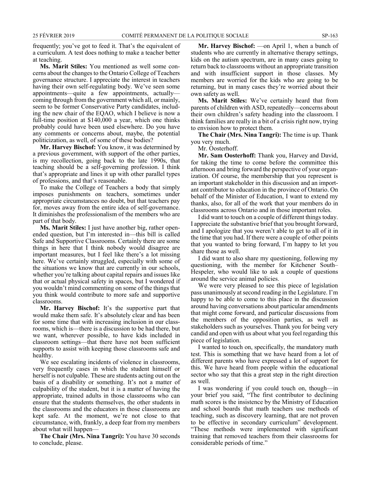frequently; you've got to feed it. That's the equivalent of a curriculum. A test does nothing to make a teacher better at teaching.

**Ms. Marit Stiles:** You mentioned as well some concerns about the changes to the Ontario College of Teachers governance structure. I appreciate the interest in teachers having their own self-regulating body. We've seen some appointments—quite a few appointments, actually coming through from the government which all, or mainly, seem to be former Conservative Party candidates, including the new chair of the EQAO, which I believe is now a full-time position at \$140,000 a year, which one thinks probably could have been used elsewhere. Do you have any comments or concerns about, maybe, the potential politicization, as well, of some of these bodies?

**Mr. Harvey Bischof:** You know, it was determined by a previous government, with support of the other parties, is my recollection, going back to the late 1990s, that teaching should be a self-governing profession. I think that's appropriate and lines it up with other parallel types of professions, and that's reasonable.

To make the College of Teachers a body that simply imposes punishments on teachers, sometimes under appropriate circumstances no doubt, but that teachers pay for, moves away from the entire idea of self-governance. It diminishes the professionalism of the members who are part of that body.

**Ms. Marit Stiles:** I just have another big, rather openended question, but I'm interested in—this bill is called Safe and Supportive Classrooms. Certainly there are some things in here that I think nobody would disagree are important measures, but I feel like there's a lot missing here. We've certainly struggled, especially with some of the situations we know that are currently in our schools, whether you're talking about capital repairs and issues like that or actual physical safety in spaces, but I wondered if you wouldn't mind commenting on some of the things that you think would contribute to more safe and supportive classrooms.

**Mr. Harvey Bischof:** It's the supportive part that would make them safe. It's absolutely clear and has been for some time that with increasing inclusion in our classrooms, which is—there is a discussion to be had there, but we want, wherever possible, to have kids included in classroom settings—that there have not been sufficient supports to assist with keeping those classrooms safe and healthy.

We see escalating incidents of violence in classrooms, very frequently cases in which the student himself or herself is not culpable. These are students acting out on the basis of a disability or something. It's not a matter of culpability of the student, but it is a matter of having the appropriate, trained adults in those classrooms who can ensure that the students themselves, the other students in the classrooms and the educators in those classrooms are kept safe. At the moment, we're not close to that circumstance, with, frankly, a deep fear from my members about what will happen—

**The Chair (Mrs. Nina Tangri):** You have 30 seconds to conclude, please.

**Mr. Harvey Bischof:** —on April 1, when a bunch of students who are currently in alternative therapy settings, kids on the autism spectrum, are in many cases going to return back to classrooms without an appropriate transition and with insufficient support in those classes. My members are worried for the kids who are going to be returning, but in many cases they're worried about their own safety as well.

**Ms. Marit Stiles:** We've certainly heard that from parents of children with ASD, repeatedly—concerns about their own children's safety heading into the classroom. I think families are really in a bit of a crisis right now, trying to envision how to protect them.

**The Chair (Mrs. Nina Tangri):** The time is up. Thank you very much.

Mr. Oosterhoff.

**Mr. Sam Oosterhoff:** Thank you, Harvey and David, for taking the time to come before the committee this afternoon and bring forward the perspective of your organization. Of course, the membership that you represent is an important stakeholder in this discussion and an important contributor to education in the province of Ontario. On behalf of the Minister of Education, I want to extend my thanks, also, for all of the work that your members do in classrooms across Ontario and in those important roles.

I did want to touch on a couple of different things today. I appreciate the substantive brief that you brought forward, and I apologize that you weren't able to get to all of it in the time that you had. If there were a couple of other points that you wanted to bring forward, I'm happy to let you share those as well.

I did want to also share my questioning, following my questioning, with the member for Kitchener South– Hespeler, who would like to ask a couple of questions around the service animal policies.

We were very pleased to see this piece of legislation pass unanimously at second reading in the Legislature. I'm happy to be able to come to this place in the discussion around having conversations about particular amendments that might come forward, and particular discussions from the members of the opposition parties, as well as stakeholders such as yourselves. Thank you for being very candid and open with us about what you feel regarding this piece of legislation.

I wanted to touch on, specifically, the mandatory math test. This is something that we have heard from a lot of different parents who have expressed a lot of support for this. We have heard from people within the educational sector who say that this a great step in the right direction as well.

I was wondering if you could touch on, though—in your brief you said, "The first contributor to declining math scores is the insistence by the Ministry of Education and school boards that math teachers use methods of teaching, such as discovery learning, that are not proven to be effective in secondary curriculum" development. "These methods were implemented with significant training that removed teachers from their classrooms for considerable periods of time."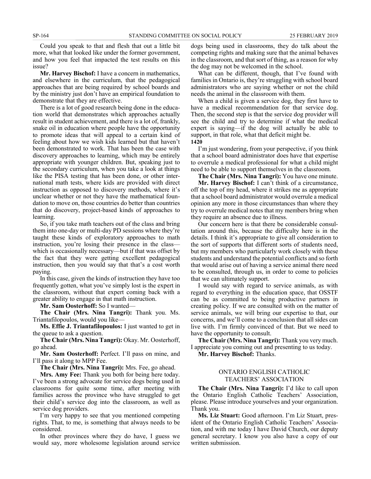Could you speak to that and flesh that out a little bit more, what that looked like under the former government, and how you feel that impacted the test results on this issue?

**Mr. Harvey Bischof:** I have a concern in mathematics, and elsewhere in the curriculum, that the pedagogical approaches that are being required by school boards and by the ministry just don't have an empirical foundation to demonstrate that they are effective.

There is a lot of good research being done in the education world that demonstrates which approaches actually result in student achievement, and there is a lot of, frankly, snake oil in education where people have the opportunity to promote ideas that will appeal to a certain kind of feeling about how we wish kids learned but that haven't been demonstrated to work. That has been the case with discovery approaches to learning, which may be entirely appropriate with younger children. But, speaking just to the secondary curriculum, when you take a look at things like the PISA testing that has been done, or other international math tests, where kids are provided with direct instruction as opposed to discovery methods, where it's unclear whether or not they have the mathematical foundation to move on, those countries do better than countries that do discovery, project-based kinds of approaches to learning.

So, if you take math teachers out of the class and bring them into one-day or multi-day PD sessions where they're taught these kinds of exploratory approaches to math instruction, you're losing their presence in the class which is occasionally necessary—but if that was offset by the fact that they were getting excellent pedagogical instruction, then you would say that that's a cost worth paying.

In this case, given the kinds of instruction they have too frequently gotten, what you've simply lost is the expert in the classroom, without that expert coming back with a greater ability to engage in that math instruction.

**Mr. Sam Oosterhoff:** So I wanted—

**The Chair (Mrs. Nina Tangri):** Thank you. Ms. Triantafilopoulos, would you like—

**Ms. Effie J. Triantafilopoulos:** I just wanted to get in the queue to ask a question.

**The Chair (Mrs. Nina Tangri):** Okay. Mr. Oosterhoff, go ahead.

**Mr. Sam Oosterhoff:** Perfect. I'll pass on mine, and I'll pass it along to MPP Fee.

**The Chair (Mrs. Nina Tangri):** Mrs. Fee, go ahead.

**Mrs. Amy Fee:** Thank you both for being here today. I've been a strong advocate for service dogs being used in classrooms for quite some time, after meeting with families across the province who have struggled to get their child's service dog into the classroom, as well as service dog providers.

I'm very happy to see that you mentioned competing rights. That, to me, is something that always needs to be considered.

In other provinces where they do have, I guess we would say, more wholesome legislation around service dogs being used in classrooms, they do talk about the competing rights and making sure that the animal behaves in the classroom, and that sort of thing, as a reason for why the dog may not be welcomed in the school.

What can be different, though, that I've found with families in Ontario is, they're struggling with school board administrators who are saying whether or not the child needs the animal in the classroom with them.

When a child is given a service dog, they first have to have a medical recommendation for that service dog. Then, the second step is that the service dog provider will see the child and try to determine if what the medical expert is saying—if the dog will actually be able to support, in that role, what that deficit might be. **1420**

I'm just wondering, from your perspective, if you think that a school board administrator does have that expertise to overrule a medical professional for what a child might need to be able to support themselves in the classroom.

**The Chair (Mrs. Nina Tangri):** You have one minute.

**Mr. Harvey Bischof:** I can't think of a circumstance, off the top of my head, where it strikes me as appropriate that a school board administrator would overrule a medical opinion any more in those circumstances than where they try to overrule medical notes that my members bring when they require an absence due to illness.

Our concern here is that there be considerable consultation around this, because the difficulty here is in the details. I think it's appropriate to give all consideration to the sort of supports that different sorts of students need, but my members who particularly work closely with these students and understand the potential conflicts and so forth that would arise out of having a service animal there need to be consulted, through us, in order to come to policies that we can ultimately support.

I would say with regard to service animals, as with regard to everything in the education space, that OSSTF can be as committed to being productive partners in creating policy. If we are consulted with on the matter of service animals, we will bring our expertise to that, our concerns, and we'll come to a conclusion that all sides can live with. I'm firmly convinced of that. But we need to have the opportunity to consult.

**The Chair (Mrs. Nina Tangri):** Thank you very much. I appreciate you coming out and presenting to us today.

**Mr. Harvey Bischof:** Thanks.

#### ONTARIO ENGLISH CATHOLIC TEACHERS' ASSOCIATION

**The Chair (Mrs. Nina Tangri):** I'd like to call upon the Ontario English Catholic Teachers' Association, please. Please introduce yourselves and your organization. Thank you.

**Ms. Liz Stuart:** Good afternoon. I'm Liz Stuart, president of the Ontario English Catholic Teachers' Association, and with me today I have David Church, our deputy general secretary. I know you also have a copy of our written submission.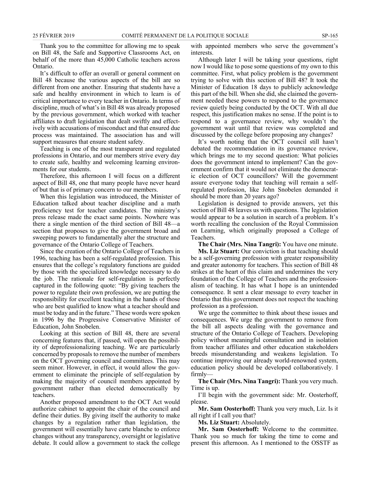Thank you to the committee for allowing me to speak on Bill 48, the Safe and Supportive Classrooms Act, on behalf of the more than 45,000 Catholic teachers across Ontario.

It's difficult to offer an overall or general comment on Bill 48 because the various aspects of the bill are so different from one another. Ensuring that students have a safe and healthy environment in which to learn is of critical importance to every teacher in Ontario. In terms of discipline, much of what's in Bill 48 was already proposed by the previous government, which worked with teacher affiliates to draft legislation that dealt swiftly and effectively with accusations of misconduct and that ensured due process was maintained. The association has and will support measures that ensure student safety.

Teaching is one of the most transparent and regulated professions in Ontario, and our members strive every day to create safe, healthy and welcoming learning environments for our students.

Therefore, this afternoon I will focus on a different aspect of Bill 48, one that many people have never heard of but that is of primary concern to our members.

When this legislation was introduced, the Minister of Education talked about teacher discipline and a math proficiency test for teacher candidates. The ministry's press release made the exact same points. Nowhere was there a single mention of the third section of Bill 48—a section that proposes to give the government broad and sweeping powers to fundamentally alter the structure and governance of the Ontario College of Teachers.

Since the creation of the Ontario College of Teachers in 1996, teaching has been a self-regulated profession. This ensures that the college's regulatory functions are guided by those with the specialized knowledge necessary to do the job. The rationale for self-regulation is perfectly captured in the following quote: "By giving teachers the power to regulate their own profession, we are putting the responsibility for excellent teaching in the hands of those who are best qualified to know what a teacher should and must be today and in the future." These words were spoken in 1996 by the Progressive Conservative Minister of Education, John Snobelen.

Looking at this section of Bill 48, there are several concerning features that, if passed, will open the possibility of deprofessionalizing teaching. We are particularly concerned by proposals to remove the number of members on the OCT governing council and committees. This may seem minor. However, in effect, it would allow the government to eliminate the principle of self-regulation by making the majority of council members appointed by government rather than elected democratically by teachers.

Another proposed amendment to the OCT Act would authorize cabinet to appoint the chair of the council and define their duties. By giving itself the authority to make changes by a regulation rather than legislation, the government will essentially have carte blanche to enforce changes without any transparency, oversight or legislative debate. It could allow a government to stack the college with appointed members who serve the government's interests.

Although later I will be taking your questions, right now I would like to pose some questions of my own to this committee. First, what policy problem is the government trying to solve with this section of Bill 48? It took the Minister of Education 18 days to publicly acknowledge this part of the bill. When she did, she claimed the government needed these powers to respond to the governance review quietly being conducted by the OCT. With all due respect, this justification makes no sense. If the point is to respond to a governance review, why wouldn't the government wait until that review was completed and discussed by the college before proposing any changes?

It's worth noting that the OCT council still hasn't debated the recommendation in its governance review, which brings me to my second question: What policies does the government intend to implement? Can the government confirm that it would not eliminate the democratic election of OCT councillors? Will the government assure everyone today that teaching will remain a selfregulated profession, like John Snobelen demanded it should be more than 20 years ago?

Legislation is designed to provide answers, yet this section of Bill 48 leaves us with questions. The legislation would appear to be a solution in search of a problem. It's worth recalling the conclusion of the Royal Commission on Learning, which originally proposed a College of Teachers.

**The Chair (Mrs. Nina Tangri):** You have one minute.

**Ms. Liz Stuart:** Our conviction is that teaching should be a self-governing profession with greater responsibility and greater autonomy for teachers. This section of Bill 48 strikes at the heart of this claim and undermines the very foundation of the College of Teachers and the professionalism of teaching. It has what I hope is an unintended consequence. It sent a clear message to every teacher in Ontario that this government does not respect the teaching profession as a profession.

We urge the committee to think about these issues and consequences. We urge the government to remove from the bill all aspects dealing with the governance and structure of the Ontario College of Teachers. Developing policy without meaningful consultation and in isolation from teacher affiliates and other education stakeholders breeds misunderstanding and weakens legislation. To continue improving our already world-renowned system, education policy should be developed collaboratively. I firmly—

**The Chair (Mrs. Nina Tangri):** Thank you very much. Time is up.

I'll begin with the government side: Mr. Oosterhoff, please.

**Mr. Sam Oosterhoff:** Thank you very much, Liz. Is it all right if I call you that?

**Ms. Liz Stuart:** Absolutely.

**Mr. Sam Oosterhoff:** Welcome to the committee. Thank you so much for taking the time to come and present this afternoon. As I mentioned to the OSSTF as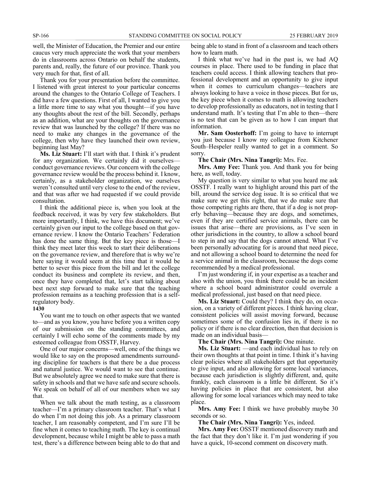well, the Minister of Education, the Premier and our entire caucus very much appreciate the work that your members do in classrooms across Ontario on behalf the students, parents and, really, the future of our province. Thank you very much for that, first of all.

Thank you for your presentation before the committee. I listened with great interest to your particular concerns around the changes to the Ontario College of Teachers. I did have a few questions. First of all, I wanted to give you a little more time to say what you thought—if you have any thoughts about the rest of the bill. Secondly, perhaps as an addition, what are your thoughts on the governance review that was launched by the college? If there was no need to make any changes in the governance of the college, then why have they launched their own review, beginning last May?

**Ms. Liz Stuart:** I'll start with that. I think it's prudent for any organization. We certainly did it ourselves conduct governance reviews. Our concern with the college governance review would be the process behind it. I know, certainly, as a stakeholder organization, we ourselves weren't consulted until very close to the end of the review, and that was after we had requested if we could provide consultation.

I think the additional piece is, when you look at the feedback received, it was by very few stakeholders. But more importantly, I think, we have this document; we've certainly given our input to the college based on that governance review. I know the Ontario Teachers' Federation has done the same thing. But the key piece is those—I think they meet later this week to start their deliberations on the governance review, and therefore that is why we're here saying it would seem at this time that it would be better to sever this piece from the bill and let the college conduct its business and complete its review, and then, once they have completed that, let's start talking about best next step forward to make sure that the teaching profession remains as a teaching profession that is a selfregulatory body.

#### **1430**

You want me to touch on other aspects that we wanted to—and as you know, you have before you a written copy of our submission on the standing committees, and certainly I will echo some of the comments made by my esteemed colleague from OSSTF, Harvey.

One of our major concerns—well, one of the things we would like to say on the proposed amendments surrounding discipline for teachers is that there be a due process and natural justice. We would want to see that continue. But we absolutely agree we need to make sure that there is safety in schools and that we have safe and secure schools. We speak on behalf of all of our members when we say that.

When we talk about the math testing, as a classroom teacher—I'm a primary classroom teacher. That's what I do when I'm not doing this job. As a primary classroom teacher, I am reasonably competent, and I'm sure I'll be fine when it comes to teaching math. The key is continual development, because while I might be able to pass a math test, there's a difference between being able to do that and

being able to stand in front of a classroom and teach others how to learn math.

I think what we've had in the past is, we had AQ courses in place. There used to be funding in place that teachers could access. I think allowing teachers that professional development and an opportunity to give input when it comes to curriculum changes—teachers are always looking to have a voice in those pieces. But for us, the key piece when it comes to math is allowing teachers to develop professionally as educators, not in testing that I understand math. It's testing that I'm able to then—there is no test that can be given as to how I can impart that information.

**Mr. Sam Oosterhoff:** I'm going to have to interrupt you just because I know my colleague from Kitchener South–Hespeler really wanted to get in a comment. So sorry.

**The Chair (Mrs. Nina Tangri):** Mrs. Fee.

**Mrs. Amy Fee:** Thank you. And thank you for being here, as well, today.

My question is very similar to what you heard me ask OSSTF. I really want to highlight around this part of the bill, around the service dog issue. It is so critical that we make sure we get this right, that we do make sure that those competing rights are there, that if a dog is not properly behaving—because they are dogs, and sometimes, even if they are certified service animals, there can be issues that arise—there are provisions, as I've seen in other jurisdictions in the country, to allow a school board to step in and say that the dogs cannot attend. What I've been personally advocating for is around that need piece, and not allowing a school board to determine the need for a service animal in the classroom, because the dogs come recommended by a medical professional.

I'm just wondering if, in your expertise as a teacher and also with the union, you think there could be an incident where a school board administrator could overrule a medical professional, just based on that need piece.

**Ms. Liz Stuart:** Could they? I think they do, on occasion, on a variety of different pieces. I think having clear, consistent policies will assist moving forward, because sometimes some of the confusion lies in, if there is no policy or if there is no clear direction, then that decision is made on an individual basis—

**The Chair (Mrs. Nina Tangri):** One minute.

**Ms. Liz Stuart:** —and each individual has to rely on their own thoughts at that point in time. I think it's having clear policies where all stakeholders get that opportunity to give input, and also allowing for some local variances, because each jurisdiction is slightly different, and, quite frankly, each classroom is a little bit different. So it's having policies in place that are consistent, but also allowing for some local variances which may need to take place.

**Mrs. Amy Fee:** I think we have probably maybe 30 seconds or so.

**The Chair (Mrs. Nina Tangri):** Yes, indeed.

**Mrs. Amy Fee:** OSSTF mentioned discovery math and the fact that they don't like it. I'm just wondering if you have a quick, 10-second comment on discovery math.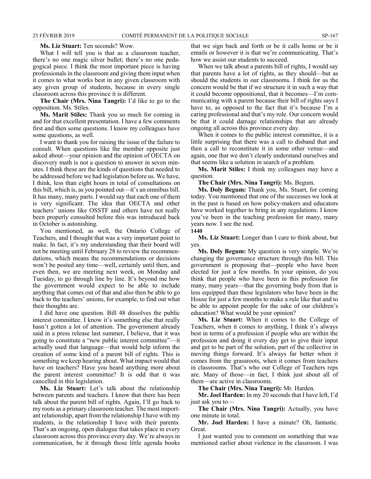#### **Ms. Liz Stuart:** Ten seconds? Wow.

What I will tell you is that as a classroom teacher, there's no one magic silver bullet; there's no one pedagogical piece. I think the most important piece is having professionals in the classroom and giving them input when it comes to what works best in any given classroom with any given group of students, because in every single classroom across this province it is different.

**The Chair (Mrs. Nina Tangri):** I'd like to go to the opposition. Ms. Stiles.

**Ms. Marit Stiles:** Thank you so much for coming in and for that excellent presentation. I have a few comments first and then some questions. I know my colleagues have some questions, as well.

I want to thank you for raising the issue of the failure to consult. When questions like the member opposite just asked about—your opinion and the opinion of OECTA on discovery math is not a question to answer in seven minutes. I think these are the kinds of questions that needed to be addressed before we had legislation before us. We have, I think, less than eight hours in total of consultations on this bill, which is, as you pointed out—it's an omnibus bill. It has many, many parts. I would say that each one of them is very significant. The idea that OECTA and other teachers' unions like OSSTF and others have not really been properly consulted before this was introduced back in October is astonishing.

You mentioned, as well, the Ontario College of Teachers, and I thought that was a very important point to make. In fact, it's my understanding that their board will not be meeting until February 28 to review the recommendations, which means the recommendations or decisions won't be posted any time—well, certainly until then, and even then, we are meeting next week, on Monday and Tuesday, to go through line by line. It's beyond me how the government would expect to be able to include anything that comes out of that and also then be able to go back to the teachers' unions, for example, to find out what their thoughts are.

I did have one question. Bill 48 dissolves the public interest committee. I know it's something else that really hasn't gotten a lot of attention. The government already said in a press release last summer, I believe, that it was going to constitute a "new public interest committee"—it actually used that language—that would help inform the creation of some kind of a parent bill of rights. This is something we keep hearing about. What impact would that have on teachers? Have you heard anything more about the parent interest committee? It is odd that it was cancelled in this legislation.

**Ms. Liz Stuart:** Let's talk about the relationship between parents and teachers. I know that there has been talk about the parent bill of rights. Again, I'll go back to my roots as a primary classroom teacher. The most important relationship, apart from the relationship I have with my students, is the relationship I have with their parents. That's an ongoing, open dialogue that takes place in every classroom across this province every day. We're always in communication, be it through those little agenda books that we sign back and forth or be it calls home or be it emails or however it is that we're communicating. That's how we assist our students to succeed.

When we talk about a parents bill of rights, I would say that parents have a lot of rights, as they should—but as should the students in our classrooms. I think for us the concern would be that if we structure it in such a way that it could become oppositional, that it becomes—I'm communicating with a parent because their bill of rights says I have to, as opposed to the fact that it's because I'm a caring professional and that's my role. Our concern would be that it could damage relationships that are already ongoing all across this province every day.

When it comes to the public interest committee, it is a little surprising that there was a call to disband that and then a call to reconstitute it in some other venue—and again, one that we don't clearly understand ourselves and that seems like a solution in search of a problem.

**Ms. Marit Stiles:** I think my colleagues may have a question.

**The Chair (Mrs. Nina Tangri):** Ms. Begum.

**Ms. Doly Begum:** Thank you, Ms. Stuart, for coming today. You mentioned that one of the successes we look at in the past is based on how policy-makers and educators have worked together to bring in any regulations. I know you've been in the teaching profession for many, many years now. I see the nod.

**1440**

**Ms. Liz Stuart:** Longer than I care to think about, but yes.

**Ms. Doly Begum:** My question is very simple. We're changing the governance structure through this bill. This government is proposing that—people who have been elected for just a few months. In your opinion, do you think that people who have been in this profession for many, many years—that the governing body from that is less equipped than these legislators who have been in the House for just a few months to make a rule like that and to be able to appoint people for the sake of our children's education? What would be your opinion?

**Ms. Liz Stuart:** When it comes to the College of Teachers, when it comes to anything, I think it's always best in terms of a profession if people who are within the profession and doing it every day get to give their input and get to be part of the solution, part of the collective in moving things forward. It's always far better when it comes from the grassroots, when it comes from teachers in classrooms. That's who our College of Teachers reps are. Many of those—in fact, I think just about all of them—are active in classrooms.

**The Chair (Mrs. Nina Tangri):** Mr. Harden.

**Mr. Joel Harden:** In my 20 seconds that I have left, I'd just ask you to—

**The Chair (Mrs. Nina Tangri):** Actually, you have one minute in total.

**Mr. Joel Harden:** I have a minute? Oh, fantastic. Great.

I just wanted you to comment on something that was mentioned earlier about violence in the classroom. I was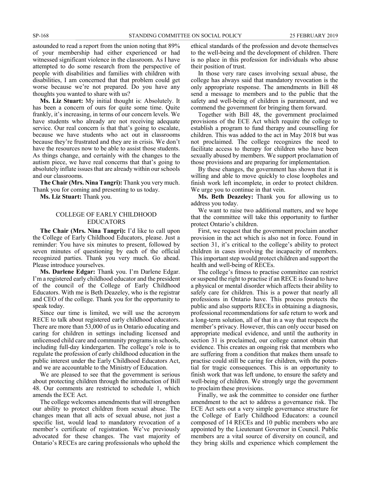astounded to read a report from the union noting that 89% of your membership had either experienced or had witnessed significant violence in the classroom. As I have attempted to do some research from the perspective of people with disabilities and families with children with disabilities, I am concerned that that problem could get worse because we're not prepared. Do you have any thoughts you wanted to share with us?

**Ms. Liz Stuart:** My initial thought is: Absolutely. It has been a concern of ours for quite some time. Quite frankly, it's increasing, in terms of our concern levels. We have students who already are not receiving adequate service. Our real concern is that that's going to escalate, because we have students who act out in classrooms because they're frustrated and they are in crisis. We don't have the resources now to be able to assist those students. As things change, and certainly with the changes to the autism piece, we have real concerns that that's going to absolutely inflate issues that are already within our schools and our classrooms.

**The Chair (Mrs. Nina Tangri):** Thank you very much. Thank you for coming and presenting to us today.

**Ms. Liz Stuart:** Thank you.

#### COLLEGE OF EARLY CHILDHOOD EDUCATORS

**The Chair (Mrs. Nina Tangri):** I'd like to call upon the College of Early Childhood Educators, please. Just a reminder: You have six minutes to present, followed by seven minutes of questioning by each of the official recognized parties. Thank you very much. Go ahead. Please introduce yourselves.

**Ms. Darlene Edgar:** Thank you. I'm Darlene Edgar. I'm a registered early childhood educator and the president of the council of the College of Early Childhood Educators. With me is Beth Deazeley, who is the registrar and CEO of the college. Thank you for the opportunity to speak today.

Since our time is limited, we will use the acronym RECE to talk about registered early childhood educators. There are more than 53,000 of us in Ontario educating and caring for children in settings including licensed and unlicensed child care and community programs in schools, including full-day kindergarten. The college's role is to regulate the profession of early childhood education in the public interest under the Early Childhood Educators Act, and we are accountable to the Ministry of Education.

We are pleased to see that the government is serious about protecting children through the introduction of Bill 48. Our comments are restricted to schedule 1, which amends the ECE Act.

The college welcomes amendments that will strengthen our ability to protect children from sexual abuse. The changes mean that all acts of sexual abuse, not just a specific list, would lead to mandatory revocation of a member's certificate of registration. We've previously advocated for these changes. The vast majority of Ontario's RECEs are caring professionals who uphold the

ethical standards of the profession and devote themselves to the well-being and the development of children. There is no place in this profession for individuals who abuse their position of trust.

In those very rare cases involving sexual abuse, the college has always said that mandatory revocation is the only appropriate response. The amendments in Bill 48 send a message to members and to the public that the safety and well-being of children is paramount, and we commend the government for bringing them forward.

Together with Bill 48, the government proclaimed provisions of the ECE Act which require the college to establish a program to fund therapy and counselling for children. This was added to the act in May 2018 but was not proclaimed. The college recognizes the need to facilitate access to therapy for children who have been sexually abused by members. We support proclamation of those provisions and are preparing for implementation.

By these changes, the government has shown that it is willing and able to move quickly to close loopholes and finish work left incomplete, in order to protect children. We urge you to continue in that vein.

**Ms. Beth Deazeley:** Thank you for allowing us to address you today.

We want to raise two additional matters, and we hope that the committee will take this opportunity to further protect Ontario's children.

First, we request that the government proclaim another provision in the act which is also not in force. Found in section 31, it's critical to the college's ability to protect children in cases involving the incapacity of members. This important step would protect children and support the health and well-being of RECEs.

The college's fitness to practise committee can restrict or suspend the right to practise if an RECE is found to have a physical or mental disorder which affects their ability to safely care for children. This is a power that nearly all professions in Ontario have. This process protects the public and also supports RECEs in obtaining a diagnosis, professional recommendations for safe return to work and a long-term solution, all of that in a way that respects the member's privacy. However, this can only occur based on appropriate medical evidence, and until the authority in section 31 is proclaimed, our college cannot obtain that evidence. This creates an ongoing risk that members who are suffering from a condition that makes them unsafe to practise could still be caring for children, with the potential for tragic consequences. This is an opportunity to finish work that was left undone, to ensure the safety and well-being of children. We strongly urge the government to proclaim these provisions.

Finally, we ask the committee to consider one further amendment to the act to address a governance risk. The ECE Act sets out a very simple governance structure for the College of Early Childhood Educators: a council composed of 14 RECEs and 10 public members who are appointed by the Lieutenant Governor in Council. Public members are a vital source of diversity on council, and they bring skills and experience which complement the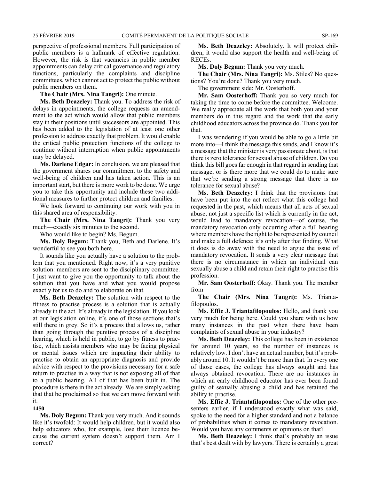perspective of professional members. Full participation of public members is a hallmark of effective regulation. However, the risk is that vacancies in public member appointments can delay critical governance and regulatory functions, particularly the complaints and discipline committees, which cannot act to protect the public without public members on them.

**The Chair (Mrs. Nina Tangri):** One minute.

**Ms. Beth Deazeley:** Thank you. To address the risk of delays in appointments, the college requests an amendment to the act which would allow that public members stay in their positions until successors are appointed. This has been added to the legislation of at least one other profession to address exactly that problem. It would enable the critical public protection functions of the college to continue without interruption when public appointments may be delayed.

**Ms. Darlene Edgar:** In conclusion, we are pleased that the government shares our commitment to the safety and well-being of children and has taken action. This is an important start, but there is more work to be done. We urge you to take this opportunity and include these two additional measures to further protect children and families.

We look forward to continuing our work with you in this shared area of responsibility.

**The Chair (Mrs. Nina Tangri):** Thank you very much—exactly six minutes to the second.

Who would like to begin? Ms. Begum.

**Ms. Doly Begum:** Thank you, Beth and Darlene. It's wonderful to see you both here.

It sounds like you actually have a solution to the problem that you mentioned. Right now, it's a very punitive solution: members are sent to the disciplinary committee. I just want to give you the opportunity to talk about the solution that you have and what you would propose exactly for us to do and to elaborate on that.

**Ms. Beth Deazeley:** The solution with respect to the fitness to practise process is a solution that is actually already in the act. It's already in the legislation. If you look at our legislation online, it's one of those sections that's still there in grey. So it's a process that allows us, rather than going through the punitive process of a discipline hearing, which is held in public, to go by fitness to practise, which assists members who may be facing physical or mental issues which are impacting their ability to practise to obtain an appropriate diagnosis and provide advice with respect to the provisions necessary for a safe return to practise in a way that is not exposing all of that to a public hearing. All of that has been built in. The procedure is there in the act already. We are simply asking that that be proclaimed so that we can move forward with it.

**1450**

**Ms. Doly Begum:** Thank you very much. And it sounds like it's twofold: It would help children, but it would also help educators who, for example, lose their licence because the current system doesn't support them. Am I correct?

**Ms. Beth Deazeley:** Absolutely. It will protect children; it would also support the health and well-being of RECEs.

**Ms. Doly Begum:** Thank you very much.

**The Chair (Mrs. Nina Tangri):** Ms. Stiles? No questions? You're done? Thank you very much.

The government side: Mr. Oosterhoff.

**Mr. Sam Oosterhoff:** Thank you so very much for taking the time to come before the committee. Welcome. We really appreciate all the work that both you and your members do in this regard and the work that the early childhood educators across the province do. Thank you for that.

I was wondering if you would be able to go a little bit more into—I think the message this sends, and I know it's a message that the minister is very passionate about, is that there is zero tolerance for sexual abuse of children. Do you think this bill goes far enough in that regard in sending that message, or is there more that we could do to make sure that we're sending a strong message that there is no tolerance for sexual abuse?

**Ms. Beth Deazeley:** I think that the provisions that have been put into the act reflect what this college had requested in the past, which means that all acts of sexual abuse, not just a specific list which is currently in the act, would lead to mandatory revocation—of course, the mandatory revocation only occurring after a full hearing where members have the right to be represented by council and make a full defence; it's only after that finding. What it does is do away with the need to argue the issue of mandatory revocation. It sends a very clear message that there is no circumstance in which an individual can sexually abuse a child and retain their right to practise this profession.

**Mr. Sam Oosterhoff:** Okay. Thank you. The member from—

**The Chair (Mrs. Nina Tangri):** Ms. Triantafilopoulos.

**Ms. Effie J. Triantafilopoulos:** Hello, and thank you very much for being here. Could you share with us how many instances in the past when there have been complaints of sexual abuse in your industry?

**Ms. Beth Deazeley:** This college has been in existence for around 10 years, so the number of instances is relatively low. I don't have an actual number, but it's probably around 10. It wouldn't be more than that. In every one of those cases, the college has always sought and has always obtained revocation. There are no instances in which an early childhood educator has ever been found guilty of sexually abusing a child and has retained the ability to practise.

**Ms. Effie J. Triantafilopoulos:** One of the other presenters earlier, if I understood exactly what was said, spoke to the need for a higher standard and not a balance of probabilities when it comes to mandatory revocation. Would you have any comments or opinions on that?

**Ms. Beth Deazeley:** I think that's probably an issue that's best dealt with by lawyers. There is certainly a great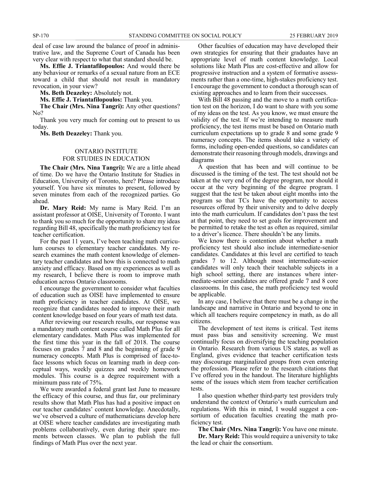deal of case law around the balance of proof in administrative law, and the Supreme Court of Canada has been very clear with respect to what that standard should be.

**Ms. Effie J. Triantafilopoulos:** And would there be any behaviour or remarks of a sexual nature from an ECE toward a child that should not result in mandatory revocation, in your view?

**Ms. Beth Deazeley:** Absolutely not.

**Ms. Effie J. Triantafilopoulos:** Thank you.

**The Chair (Mrs. Nina Tangri):** Any other questions? No?

Thank you very much for coming out to present to us today.

**Ms. Beth Deazeley:** Thank you.

#### ONTARIO INSTITUTE FOR STUDIES IN EDUCATION

**The Chair (Mrs. Nina Tangri):** We are a little ahead of time. Do we have the Ontario Institute for Studies in Education, University of Toronto, here? Please introduce yourself. You have six minutes to present, followed by seven minutes from each of the recognized parties. Go ahead.

**Dr. Mary Reid:** My name is Mary Reid. I'm an assistant professor at OISE, University of Toronto. I want to thank you so much for the opportunity to share my ideas regarding Bill 48, specifically the math proficiency test for teacher certification.

For the past 11 years, I've been teaching math curriculum courses to elementary teacher candidates. My research examines the math content knowledge of elementary teacher candidates and how this is connected to math anxiety and efficacy. Based on my experiences as well as my research, I believe there is room to improve math education across Ontario classrooms.

I encourage the government to consider what faculties of education such as OISE have implemented to ensure math proficiency in teacher candidates. At OISE, we recognize that candidates needed to improve their math content knowledge based on four years of math test data.

After reviewing our research results, our response was a mandatory math content course called Math Plus for all elementary candidates. Math Plus was implemented for the first time this year in the fall of 2018. The course focuses on grades 7 and 8 and the beginning of grade 9 numeracy concepts. Math Plus is comprised of face-toface lessons which focus on learning math in deep conceptual ways, weekly quizzes and weekly homework modules. This course is a degree requirement with a minimum pass rate of 75%.

We were awarded a federal grant last June to measure the efficacy of this course, and thus far, our preliminary results show that Math Plus has had a positive impact on our teacher candidates' content knowledge. Anecdotally, we've observed a culture of mathematicians develop here at OISE where teacher candidates are investigating math problems collaboratively, even during their spare moments between classes. We plan to publish the full findings of Math Plus over the next year.

Other faculties of education may have developed their own strategies for ensuring that their graduates have an appropriate level of math content knowledge. Local solutions like Math Plus are cost-effective and allow for progressive instruction and a system of formative assessments rather than a one-time, high-stakes proficiency test. I encourage the government to conduct a thorough scan of existing approaches and to learn from their successes.

With Bill 48 passing and the move to a math certification test on the horizon, I do want to share with you some of my ideas on the test. As you know, we must ensure the validity of the test. If we're intending to measure math proficiency, the test items must be based on Ontario math curriculum expectations up to grade 8 and some grade 9 numeracy concepts. The items should take a variety of forms, including open-ended questions, so candidates can demonstrate their reasoning through models, drawings and diagrams

A question that has been and will continue to be discussed is the timing of the test. The test should not be taken at the very end of the degree program, nor should it occur at the very beginning of the degree program. I suggest that the test be taken about eight months into the program so that TCs have the opportunity to access resources offered by their university and to delve deeply into the math curriculum. If candidates don't pass the test at that point, they need to set goals for improvement and be permitted to retake the test as often as required, similar to a driver's licence. There shouldn't be any limits.

We know there is contention about whether a math proficiency test should also include intermediate-senior candidates. Candidates at this level are certified to teach grades 7 to 12. Although most intermediate-senior candidates will only teach their teachable subjects in a high school setting, there are instances where intermediate-senior candidates are offered grade 7 and 8 core classrooms. In this case, the math proficiency test would be applicable.

In any case, I believe that there must be a change in the landscape and narrative in Ontario and beyond to one in which all teachers require competency in math, as do all citizens.

The development of test items is critical. Test items must pass bias and sensitivity screening. We must continually focus on diversifying the teaching population in Ontario. Research from various US states, as well as England, gives evidence that teacher certification tests may discourage marginalized groups from even entering the profession. Please refer to the research citations that I've offered you in the handout. The literature highlights some of the issues which stem from teacher certification tests.

I also question whether third-party test providers truly understand the context of Ontario's math curriculum and regulations. With this in mind, I would suggest a consortium of education faculties creating the math proficiency test.

**The Chair (Mrs. Nina Tangri):** You have one minute. **Dr. Mary Reid:** This would require a university to take the lead or chair the consortium.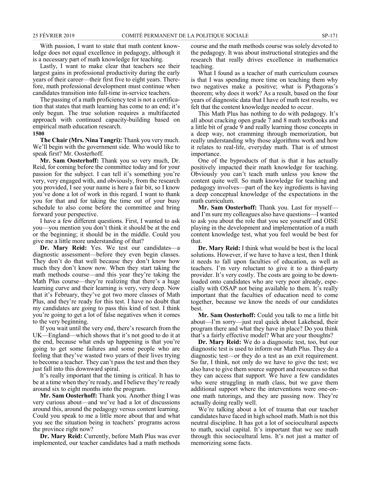With passion, I want to state that math content knowledge does not equal excellence in pedagogy, although it is a necessary part of math knowledge for teaching.

Lastly, I want to make clear that teachers see their largest gains in professional productivity during the early years of their career—their first five to eight years. Therefore, math professional development must continue when candidates transition into full-time in-service teachers.

The passing of a math proficiency test is not a certification that states that math learning has come to an end; it's only begun. The true solution requires a multifaceted approach with continued capacity-building based on empirical math education research.

**1500**

**The Chair (Mrs. Nina Tangri):** Thank you very much. We'll begin with the government side. Who would like to speak first? Mr. Oosterhoff.

**Mr. Sam Oosterhoff:** Thank you so very much, Dr. Reid, for coming before the committee today and for your passion for the subject. I can tell it's something you're very, very engaged with, and obviously, from the research you provided, I see your name is here a fair bit, so I know you've done a lot of work in this regard. I want to thank you for that and for taking the time out of your busy schedule to also come before the committee and bring forward your perspective.

I have a few different questions. First, I wanted to ask you—you mention you don't think it should be at the end or the beginning; it should be in the middle. Could you give me a little more understanding of that?

**Dr. Mary Reid:** Yes. We test our candidates—a diagnostic assessment—before they even begin classes. They don't do that well because they don't know how much they don't know now. When they start taking the math methods course—and this year they're taking the Math Plus course—they're realizing that there's a huge learning curve and their learning is very, very deep. Now that it's February, they've got two more classes of Math Plus, and they're ready for this test. I have no doubt that my candidates are going to pass this kind of test. I think you're going to get a lot of false negatives when it comes to the very beginning.

If you wait until the very end, there's research from the UK—England—which shows that it's not good to do it at the end, because what ends up happening is that you're going to get some failures and some people who are feeling that they've wasted two years of their lives trying to become a teacher. They can't pass the test and then they just fall into this downward spiral.

It's really important that the timing is critical. It has to be at a time when they're ready, and I believe they're ready around six to eight months into the program.

**Mr. Sam Oosterhoff:** Thank you. Another thing I was very curious about—and we've had a lot of discussions around this, around the pedagogy versus content learning. Could you speak to me a little more about that and what you see the situation being in teachers' programs across the province right now?

**Dr. Mary Reid:** Currently, before Math Plus was ever implemented, our teacher candidates had a math methods course and the math methods course was solely devoted to the pedagogy. It was about instructional strategies and the research that really drives excellence in mathematics teaching.

What I found as a teacher of math curriculum courses is that I was spending more time on teaching them why two negatives make a positive; what is Pythagoras's theorem; why does it work? As a result, based on the four years of diagnostic data that I have of math test results, we felt that the content knowledge needed to occur.

This Math Plus has nothing to do with pedagogy. It's all about cracking open grade 7 and 8 math textbooks and a little bit of grade 9 and really learning those concepts in a deep way, not cramming through memorization, but really understanding why those algorithms work and how it relates to real-life, everyday math. That is of utmost importance.

One of the byproducts of that is that it has actually positively impacted their math knowledge for teaching. Obviously you can't teach math unless you know the content quite well. So math knowledge for teaching and pedagogy involves—part of the key ingredients is having a deep conceptual knowledge of the expectations in the math curriculum.

**Mr. Sam Oosterhoff:** Thank you. Last for myself and I'm sure my colleagues also have questions—I wanted to ask you about the role that you see yourself and OISE playing in the development and implementation of a math content knowledge test, what you feel would be best for that.

**Dr. Mary Reid:** I think what would be best is the local solutions. However, if we have to have a test, then I think it needs to fall upon faculties of education, as well as teachers. I'm very reluctant to give it to a third-party provider. It's very costly. The costs are going to be downloaded onto candidates who are very poor already, especially with OSAP not being available to them. It's really important that the faculties of education need to come together, because we know the needs of our candidates best.

**Mr. Sam Oosterhoff:** Could you talk to me a little bit about—I'm sorry—just real quick about Lakehead, their program there and what they have in place? Do you think that's a fairly effective model? What are your thoughts?

**Dr. Mary Reid:** We do a diagnostic test, too, but our diagnostic test is used to inform our Math Plus. They do a diagnostic test—or they do a test as an exit requirement. So far, I think, not only do we have to give the test; we also have to give them source support and resources so that they can access that support. We have a few candidates who were struggling in math class, but we gave them additional support where the interventions were one-onone math tutorings, and they are passing now. They're actually doing really well.

We're talking about a lot of trauma that our teacher candidates have faced in high school math. Math is not this neutral discipline. It has got a lot of sociocultural aspects to math, social capital. It's important that we see math through this sociocultural lens. It's not just a matter of memorizing some facts.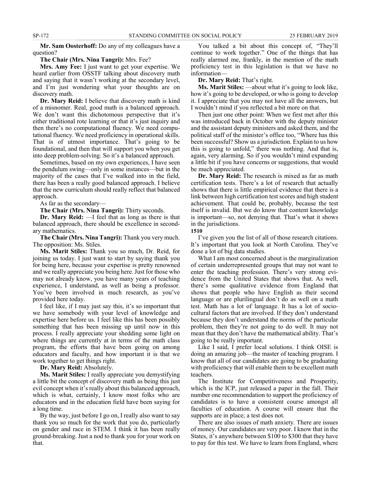**Mr. Sam Oosterhoff:** Do any of my colleagues have a question?

#### **The Chair (Mrs. Nina Tangri):** Mrs. Fee?

**Mrs. Amy Fee:** I just want to get your expertise. We heard earlier from OSSTF talking about discovery math and saying that it wasn't working at the secondary level, and I'm just wondering what your thoughts are on discovery math.

**Dr. Mary Reid:** I believe that discovery math is kind of a misnomer. Real, good math is a balanced approach. We don't want this dichotomous perspective that it's either traditional rote learning or that it's just inquiry and then there's no computational fluency. We need computational fluency. We need proficiency in operational skills. That is of utmost importance. That's going to be foundational, and then that will support you when you get into deep problem-solving. So it's a balanced approach.

Sometimes, based on my own experiences, I have seen the pendulum swing—only in some instances—but in the majority of the cases that I've walked into in the field, there has been a really good balanced approach. I believe that the new curriculum should really reflect that balanced approach.

As far as the secondary—

**The Chair (Mrs. Nina Tangri):** Thirty seconds.

**Dr. Mary Reid:** —I feel that as long as there is that balanced approach, there should be excellence in secondary mathematics.

**The Chair (Mrs. Nina Tangri):** Thank you very much. The opposition: Ms. Stiles.

**Ms. Marit Stiles:** Thank you so much, Dr. Reid, for joining us today. I just want to start by saying thank you for being here, because your expertise is pretty renowned and we really appreciate you being here. Just for those who may not already know, you have many years of teaching experience, I understand, as well as being a professor. You've been involved in much research, as you've provided here today.

I feel like, if I may just say this, it's so important that we have somebody with your level of knowledge and expertise here before us. I feel like this has been possibly something that has been missing up until now in this process. I really appreciate your shedding some light on where things are currently at in terms of the math class program, the efforts that have been going on among educators and faculty, and how important it is that we work together to get things right.

**Dr. Mary Reid:** Absolutely.

**Ms. Marit Stiles:** I really appreciate you demystifying a little bit the concept of discovery math as being this just evil concept when it's really about this balanced approach, which is what, certainly, I know most folks who are educators and in the education field have been saying for a long time.

By the way, just before I go on, I really also want to say thank you so much for the work that you do, particularly on gender and race in STEM. I think it has been really ground-breaking. Just a nod to thank you for your work on that.

You talked a bit about this concept of, "They'll continue to work together." One of the things that has really alarmed me, frankly, in the mention of the math proficiency test in this legislation is that we have no information—

**Dr. Mary Reid:** That's right.

**Ms. Marit Stiles:** —about what it's going to look like, how it's going to be developed, or who is going to develop it. I appreciate that you may not have all the answers, but I wouldn't mind if you reflected a bit more on that.

Then just one other point: When we first met after this was introduced back in October with the deputy minister and the assistant deputy ministers and asked them, and the political staff of the minister's office too, "Where has this been successful? Show us a jurisdiction. Explain to us how this is going to unfold," there was nothing. And that is, again, very alarming. So if you wouldn't mind expanding a little bit if you have concerns or suggestions, that would be much appreciated.

**Dr. Mary Reid:** The research is mixed as far as math certification tests. There's a lot of research that actually shows that there is little empirical evidence that there is a link between high certification test scores and high student achievement. That could be, probably, because the test itself is invalid. But we do know that content knowledge is important—so, not denying that. That's what it shows in the jurisdictions.

#### **1510**

I've given you the list of all of those research citations. It's important that you look at North Carolina. They've done a lot of big data studies.

What I am most concerned about is the marginalization of certain underrepresented groups that may not want to enter the teaching profession. There's very strong evidence from the United States that shows that. As well, there's some qualitative evidence from England that shows that people who have English as their second language or are plurilingual don't do as well on a math test. Math has a lot of language. It has a lot of sociocultural factors that are involved. If they don't understand because they don't understand the norms of the particular problem, then they're not going to do well. It may not mean that they don't have the mathematical ability. That's going to be really important.

Like I said, I prefer local solutions. I think OISE is doing an amazing job—the master of teaching program. I know that all of our candidates are going to be graduating with proficiency that will enable them to be excellent math teachers.

The Institute for Competitiveness and Prosperity, which is the ICP, just released a paper in the fall. Their number one recommendation to support the proficiency of candidates is to have a consistent course amongst all faculties of education. A course will ensure that the supports are in place; a test does not.

There are also issues of math anxiety. There are issues of money. Our candidates are very poor. I know that in the States, it's anywhere between \$100 to \$300 that they have to pay for this test. We have to learn from England, where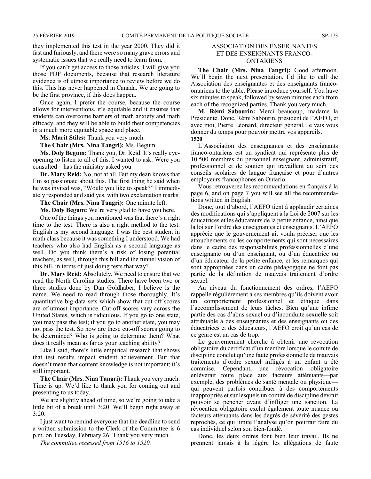they implemented this test in the year 2000. They did it fast and furiously, and there were so many grave errors and systematic issues that we really need to learn from.

If you can't get access to those articles, I will give you those PDF documents, because that research literature evidence is of utmost importance to review before we do this. This has never happened in Canada. We are going to be the first province, if this does happen.

Once again, I prefer the course, because the course allows for interventions, it's equitable and it ensures that students can overcome barriers of math anxiety and math efficacy, and they will be able to build their competencies in a much more equitable space and place.

**Ms. Marit Stiles:** Thank you very much.

**The Chair (Mrs. Nina Tangri):** Ms. Begum.

**Ms. Doly Begum:** Thank you, Dr. Reid. It's really eyeopening to listen to all of this. I wanted to ask: Were you consulted—has the ministry asked you—

**Dr. Mary Reid:** No, not at all. But my dean knows that I'm so passionate about this. The first thing he said when he was invited was, "Would you like to speak?" I immediately responded and said yes, with two exclamation marks.

#### **The Chair (Mrs. Nina Tangri):** One minute left.

**Ms. Doly Begum:** We're very glad to have you here.

One of the things you mentioned was that there's a right time to the test. There is also a right method to the test. English is my second language. I was the best student in math class because it was something I understood. We had teachers who also had English as a second language as well. Do you think there's a risk of losing potential teachers, as well, through this bill and the tunnel vision of this bill, in terms of just doing tests that way?

**Dr. Mary Reid:** Absolutely. We need to ensure that we read the North Carolina studies. There have been two or three studies done by Dan Goldhaber, I believe is the name. We need to read through those thoroughly. It's quantitative big-data sets which show that cut-off scores are of utmost importance. Cut-off scores vary across the United States, which is ridiculous. If you go to one state, you may pass the test; if you go to another state, you may not pass the test. So how are these cut-off scores going to be determined? Who is going to determine them? What does it really mean as far as your teaching ability?

Like I said, there's little empirical research that shows that test results impact student achievement. But that doesn't mean that content knowledge is not important; it's still important.

**The Chair (Mrs. Nina Tangri):** Thank you very much. Time is up. We'd like to thank you for coming out and presenting to us today.

We are slightly ahead of time, so we're going to take a little bit of a break until 3:20. We'll begin right away at 3:20.

I just want to remind everyone that the deadline to send a written submission to the Clerk of the Committee is 6 p.m. on Tuesday, February 26. Thank you very much.

*The committee recessed from 1516 to 1520.*

#### ASSOCIATION DES ENSEIGNANTES ET DES ENSEIGNANTS FRANCO-ONTARIENS

**The Chair (Mrs. Nina Tangri):** Good afternoon. We'll begin the next presentation. I'd like to call the Association des enseignantes et des enseignants francoontariens to the table. Please introduce yourself. You have six minutes to speak, followed by seven minutes each from each of the recognized parties. Thank you very much.

**M. Rémi Sabourin:** Merci beaucoup, madame la Présidente. Donc, Rémi Sabourin, président de l'AEFO, et avec moi, Pierre Léonard, directeur général. Je vais vous donner du temps pour pouvoir mettre vos appareils. **1520**

L'Association des enseignantes et des enseignants franco-ontariens est un syndicat qui représente plus de 10 500 membres du personnel enseignant, administratif, professionnel et de soutien qui travaillent au sein des conseils scolaires de langue française et pour d'autres employeurs francophones en Ontario.

Vous retrouverez les recommandations en français à la page 6, and on page 7 you will see all the recommendations written in English.

Donc, tout d'abord, l'AEFO tient à applaudir certaines des modifications qui s'appliquent à la Loi de 2007 sur les éducatrices et les éducateurs de la petite enfance, ainsi que la loi sur l'ordre des enseignantes et enseignants. L'AEFO apprécie que le gouvernement ait voulu préciser que les attouchements ou les comportements qui sont nécessaires dans le cadre des responsabilités professionnelles d'une enseignante ou d'un enseignant, ou d'un éducatrice ou d'un éducateur de la petite enfance, et les remarques qui sont appropriées dans un cadre pédagogique ne font pas partie de la définition de mauvais traitement d'ordre sexuel.

Au niveau du fonctionnement des ordres, l'AEFO rappelle régulièrement à ses membres qu'ils doivent avoir un comportement professionnel et éthique dans l'accomplissement de leurs tâches. Bien qu'une infime partie des cas d'abus sexuel ou d'inconduite sexuelle soit attribuable à des enseignantes et des enseignants ou des éducatrices et des éducateurs, l'AEFO croit qu'un cas de ce genre est un cas de trop.

Le gouvernement cherche à obtenir une révocation obligatoire du certificat d'un membre lorsque le comité de discipline conclut qu'une faute professionnelle de mauvais traitements d'ordre sexuel infligés à un enfant a été commise. Cependant, une révocation obligatoire enlèverait toute place aux facteurs atténuants—par exemple, des problèmes de santé mentale ou physique qui peuvent parfois contribuer à des comportements inappropriés et sur lesquels un comité de discipline devrait pouvoir se pencher avant d'infliger une sanction. La révocation obligatoire exclut également toute nuance ou facteurs atténuants dans les degrés de sévérité des gestes reprochés, ce qui limite l'analyse qu'on pourrait faire du cas individuel selon son bien-fondé.

Donc, les deux ordres font bien leur travail. Ils ne prennent jamais à la légère les allégations de faute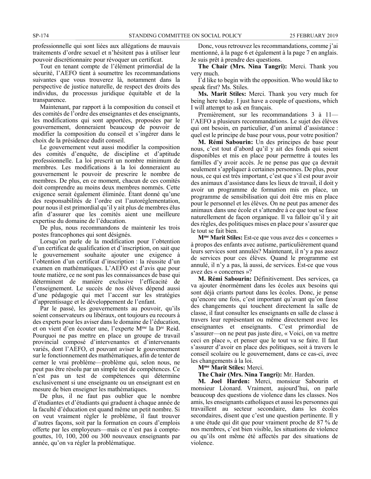professionnelle qui sont liées aux allégations de mauvais traitements d'ordre sexuel et n'hésitent pas à utiliser leur pouvoir discrétionnaire pour révoquer un certificat.

Tout en tenant compte de l'élément primordial de la sécurité, l'AEFO tient à soumettre les recommandations suivantes que vous trouverez là, notamment dans la perspective de justice naturelle, de respect des droits des individus, du processus juridique équitable et de la transparence.

Maintenant, par rapport à la composition du conseil et des comités de l'ordre des enseignantes et des enseignants, les modifications qui sont apportées, proposées par le gouvernement, donneraient beaucoup de pouvoir de modifier la composition du conseil et s'ingérer dans le choix de la présidence dudit conseil.

Le gouvernement veut aussi modifier la composition des comités d'enquête, de discipline et d'aptitude professionnelle. La loi prescrit un nombre minimum de membres. Les modifications à la loi donneraient au gouvernement le pouvoir de prescrire le nombre de membres. De plus, en ce moment, chacun de ces comités doit comprendre au moins deux membres nommés. Cette exigence serait également éliminée. Étant donné qu'une des responsabilités de l'ordre est l'autoréglementation, pour nous il est primordial qu'il y ait plus de membres élus afin d'assurer que les comités aient une meilleure expertise du domaine de l'éducation.

De plus, nous recommandons de maintenir les trois postes francophones qui sont désignés.

Lorsqu'on parle de la modification pour l'obtention d'un certificat de qualification et d'inscription, on sait que le gouvernement souhaite ajouter une exigence à l'obtention d'un certificat d'inscription : la réussite d'un examen en mathématiques. L'AEFO est d'avis que pour toute matière, ce ne sont pas les connaissances de base qui déterminent de manière exclusive l'efficacité de l'enseignement. Le succès de nos élèves dépend aussi d'une pédagogie qui met l'accent sur les stratégies d'apprentissage et le développement de l'enfant.

Par le passé, les gouvernements au pouvoir, qu'ils soient conservateurs ou libéraux, ont toujours eu recours à des experts pour les aviser dans le domaine de l'éducation, et on vient d'en écouter une, l'experte Mme la Dre Reid. Pourquoi ne pas mettre en place un groupe de travail provincial composé d'intervenantes et d'intervenants variés, dont l'AEFO, et pouvant aviser le gouvernement sur le fonctionnement des mathématiques, afin de tenter de cerner le vrai problème—problème qui, selon nous, ne peut pas être résolu par un simple test de compétences. Ce n'est pas un test de compétences qui détermine exclusivement si une enseignante ou un enseignant est en mesure de bien enseigner les mathématiques.

De plus, il ne faut pas oublier que le nombre d'étudiantes et d'étudiants qui graduent à chaque année de la faculté d'éducation est quand même un petit nombre. Si on veut vraiment régler le problème, il faut trouver d'autres façons, soit par la formation en cours d'emplois offerte par les employeurs—mais ce n'est pas à comptegouttes, 10, 100, 200 ou 300 nouveaux enseignants par année, qu'on va régler la problématique.

Donc, vous retrouvez les recommandations, comme j'ai mentionné, à la page 6 et également à la page 7 en anglais. Je suis prêt à prendre des questions.

**The Chair (Mrs. Nina Tangri):** Merci. Thank you very much.

I'd like to begin with the opposition. Who would like to speak first? Ms. Stiles.

**Ms. Marit Stiles:** Merci. Thank you very much for being here today. I just have a couple of questions, which I will attempt to ask en français.

Premièrement, sur les recommandations 3 à 11 l'AEFO a plusieurs recommandations. Le sujet des élèves qui ont besoin, en particulier, d'un animal d'assistance : quel est le principe de base pour vous, pour votre position?

**M. Rémi Sabourin:** Un des principes de base pour nous, c'est tout d'abord qu'il y ait des fonds qui soient disponibles et mis en place pour permettre à toutes les familles d'y avoir accès. Je ne pense pas que ça devrait seulement s'appliquer à certaines personnes. De plus, pour nous, ce qui est très important, c'est que s'il est pour avoir des animaux d'assistance dans les lieux de travail, il doit y avoir un programme de formation mis en place, un programme de sensibilisation qui doit être mis en place pour le personnel et les élèves. On ne peut pas amener des animaux dans une école et s'attendre à ce que tout se fasse naturellement de façon organique. Il va falloir qu'il y ait des règles, des politiques mises en place pour s'assurer que le tout se fait bien.

**Mme Marit Stiles:** Est-ce que vous avez des « concernes » à propos des enfants avec autisme, particulièrement quand leurs services sont annulés? Maintenant, il n'y a pas assez de services pour ces élèves. Quand le programme est annulé, il n'y a pas, là aussi, de services. Est-ce que vous avez des « concernes »?

**M. Rémi Sabourin:** Définitivement. Des services, ça va ajouter énormément dans les écoles aux besoins qui sont déjà criants partout dans les écoles. Donc, je pense qu'encore une fois, c'est important qu'avant qu'on fasse des changements qui touchent directement la salle de classe, il faut consulter les enseignants en salle de classe à travers leur représentant ou même directement avec les enseignantes et enseignants. C'est primordial de s'assurer—on ne peut pas juste dire, « Voici, on va mettre ceci en place », et penser que le tout va se faire. Il faut s'assurer d'avoir en place des politiques, soit à travers le conseil scolaire ou le gouvernement, dans ce cas-ci, avec les changements à la loi.

**Mme Marit Stiles:** Merci.

**The Chair (Mrs. Nina Tangri):** Mr. Harden.

**M. Joel Harden:** Merci, monsieur Sabourin et monsieur Léonard. Vraiment, aujourd'hui, on parle beaucoup des questions de violence dans les classes. Nos amis, les enseignants catholiques et aussi les personnes qui travaillent au secteur secondaire, dans les écoles secondaires, disent que c'est une question pertinente. Il y a une étude qui dit que pour vraiment proche de 87 % de nos membres, c'est bien visible, les situations de violence ou qu'ils ont même été affectés par des situations de violence.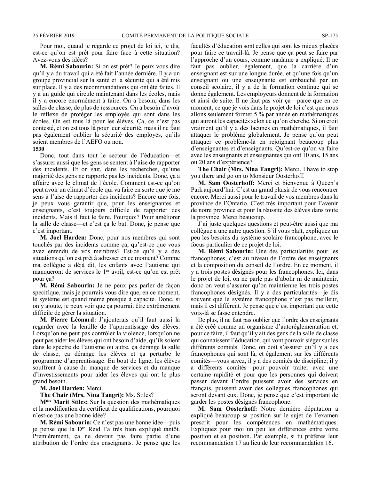Pour moi, quand je regarde ce projet de loi ici, je dis, est-ce qu'on est prêt pour faire face à cette situation? Avez-vous des idées?

**M. Rémi Sabourin:** Si on est prêt? Je peux vous dire qu'il y a du travail qui a été fait l'année dernière. Il y a un groupe provincial sur la santé et la sécurité qui a été mis sur place. Il y a des recommandations qui ont été faites. Il y a un guide qui circule maintenant dans les écoles, mais il y a encore énormément à faire. On a besoin, dans les salles de classe, de plus de ressources. On a besoin d'avoir le réflexe de protéger les employés qui sont dans les écoles. On est tous là pour les élèves. Ça, ce n'est pas contesté, et on est tous là pour leur sécurité, mais il ne faut pas également oublier la sécurité des employés, qu'ils soient membres de l'AEFO ou non.

#### **1530**

Donc, tout dans tout le secteur de l'éducation—et s'assurer aussi que les gens se sentent à l'aise de rapporter des incidents. Et on sait, dans les recherches, qu'une majorité des gens ne rapporte pas les incidents. Donc, ça a affaire avec le climat de l'école. Comment est-ce qu'on peut avoir un climat d'école qui va faire en sorte que je me sens à l'aise de rapporter des incidents? Encore une fois, je peux vous garantir que, pour les enseignantes et enseignants, c'est toujours difficile de rapporter des incidents. Mais il faut le faire. Pourquoi? Pour améliorer la salle de classe—et c'est ça le but. Donc, je pense que c'est important.

**M. Joel Harden:** Donc, pour nos membres qui sont touchés par des incidents comme ça, qu'est-ce que vous avez entendu de vos membres? Est-ce qu'il y a des situations qu'on est prêt à adresser en ce moment? Comme ma collègue a déjà dit, les enfants avec l'autisme qui manqueront de services le 1<sup>er</sup> avril, est-ce qu'on est prêt pour ça?

**M. Rémi Sabourin:** Je ne peux pas parler de façon spécifique, mais je pourrais vous dire que, en ce moment, le système est quand même presque à capacité. Donc, si on y ajoute, je peux voir que ça pourrait être extrêmement difficile de gérer la situation.

**M. Pierre Léonard:** J'ajouterais qu'il faut aussi la regarder avec la lentille de l'apprentissage des élèves. Lorsqu'on ne peut pas contrôler la violence, lorsqu'on ne peut pas aider les élèves qui ont besoin d'aide, qu'ils soient dans le spectre de l'autisme ou autre, ça dérange la salle de classe, ça dérange les élèves et ça perturbe le programme d'apprentissage. En bout de ligne, les élèves souffrent à cause du manque de services et du manque d'investissements pour aider les élèves qui ont le plus grand besoin.

**M. Joel Harden:** Merci.

**The Chair (Mrs. Nina Tangri):** Ms. Stiles?

**Mme Marit Stiles:** Sur la question des mathématiques et la modification du certificat de qualifications, pourquoi n'est-ce pas une bonne idée?

**M. Rémi Sabourin:** Ce n'est pas une bonne idée—puis je pense que la Dre Reid l'a très bien expliqué tantôt. Premièrement, ça ne devrait pas faire partie d'une attribution de l'ordre des enseignants. Je pense que les facultés d'éducation sont celles qui sont les mieux placées pour faire ce travail-là. Je pense que ça peut se faire par l'approche d'un cours, comme madame a expliqué. Il ne faut pas oublier, également, que la carrière d'un enseignant est sur une longue durée, et qu'une fois qu'un enseignant ou une enseignante est embauché par un conseil scolaire, il y a de la formation continue qui se donne également. Les employeurs donnent de la formation et ainsi de suite. Il ne faut pas voir ça—parce que en ce moment, ce que je vois dans le projet de loi c'est que nous allons seulement former 5 % par année en mathématiques qui auront les capacités selon ce qu'on cherche. Si on croit vraiment qu'il y a des lacunes en mathématiques, il faut attaquer le problème globalement. Je pense qu'on peut attaquer ce problème-là en rejoignant beaucoup plus d'enseignantes et d'enseignants. Qu'est-ce qu'on va faire avec les enseignants et enseignantes qui ont 10 ans, 15 ans ou 20 ans d'expérience?

**The Chair (Mrs. Nina Tangri):** Merci. I have to stop you there and go on to Monsieur Oosterhoff.

**M. Sam Oosterhoff:** Merci et bienvenue à Queen's Park aujourd'hui. C'est un grand plaisir de vous rencontrer encore. Merci aussi pour le travail de vos membres dans la province de l'Ontario. C'est très important pour l'avenir de notre province et pour la réussite des élèves dans toute la province. Merci beaucoup.

J'ai juste quelques questions et peut-être aussi que ma collègue a une autre question. S'il vous plaît, expliquez un peu les besoins du système scolaire francophone, avec le focus particulier de ce projet de loi.

**M. Rémi Sabourin:** Une des particularités pour les francophones, c'est au niveau de l'ordre des enseignants et la composition du conseil de l'ordre. En ce moment, il y a trois postes désignés pour les francophones. Ici, dans le projet de loi, on ne parle pas d'abolir ni de maintenir, donc on veut s'assurer qu'on maintienne les trois postes francophones désignés. Il y a des particularités—je dis souvent que le système francophone n'est pas meilleur, mais il est différent. Je pense que c'est important que cette voix-là se fasse entendre.

De plus, il ne faut pas oublier que l'ordre des enseignants a été créé comme un organisme d'autoréglementation et, pour ce faire, il faut qu'il y ait des gens de la salle de classe qui connaissent l'éducation, qui vont pouvoir siéger sur les différents comités. Donc, on doit s'assurer qu'il y a des francophones qui sont là, et également sur les différents comités—vous savez, il y a des comités de discipline; il y a différents comités—pour pouvoir traiter avec une certaine rapidité et pour que les personnes qui doivent passer devant l'ordre puissent avoir des services en français, puissent avoir des collègues francophones qui seront devant eux. Donc, je pense que c'est important de garder les postes désignés francophone.

**M. Sam Oosterhoff:** Notre dernière députation a expliqué beaucoup sa position sur le sujet de l'examen prescrit pour les compétences en mathématiques. Expliquez pour moi un peu les différences entre votre position et sa position. Par exemple, si tu préfères leur recommandation 17 au lieu de leur recommandation 16.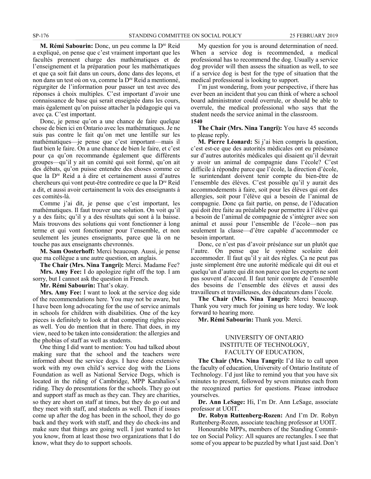**M. Rémi Sabourin:** Donc, un peu comme la Dre Reid a expliqué, on pense que c'est vraiment important que les facultés prennent charge des mathématiques et de l'enseignement et la préparation pour les mathématiques et que ça soit fait dans un cours, donc dans des leçons, et non dans un test où on va, comme la Dre Reid a mentionné, régurgiter de l'information pour passer un test avec des réponses à choix multiples. C'est important d'avoir une connaissance de base qui serait enseignée dans les cours, mais également qu'on puisse attacher la pédagogie qui va avec ça. C'est important.

Donc, je pense qu'on a une chance de faire quelque chose de bien ici en Ontario avec les mathématiques. Je ne suis pas contre le fait qu'on met une lentille sur les mathématiques—je pense que c'est important—mais il faut bien le faire. On a une chance de bien le faire, et c'est pour ça qu'on recommande également que différents groupes—qu'il y ait un comité qui soit formé, qu'on ait des débats, qu'on puisse entendre des choses comme ce que la Dre Reid a à dire et certainement aussi d'autres chercheurs qui vont peut-être contredire ce que la Dre Reid a dit, et aussi avoir certainement la voix des enseignants à ces comités-là.

Comme j'ai dit, je pense que c'est important, les mathématiques. Il faut trouver une solution. On voit qu'il y a des faits; qu'il y a des résultats qui sont à la baisse. Mais trouvons des solutions qui vont fonctionner à long terme et qui vont fonctionner pour l'ensemble, et non seulement les jeunes enseignants, parce que là on ne touche pas aux enseignants chevronnés.

**M. Sam Oosterhoff:** Merci beaucoup. Aussi, je pense que ma collègue a une autre question, en anglais.

**The Chair (Mrs. Nina Tangri):** Merci. Madame Fee? **Mrs. Amy Fee:** I do apologize right off the top. I am

sorry, but I cannot ask the question in French.

**Mr. Rémi Sabourin:** That's okay.

**Mrs. Amy Fee:** I want to look at the service dog side of the recommendations here. You may not be aware, but I have been long advocating for the use of service animals in schools for children with disabilities. One of the key pieces is definitely to look at that competing rights piece as well. You do mention that in there. That does, in my view, need to be taken into consideration: the allergies and the phobias of staff as well as students.

One thing I did want to mention: You had talked about making sure that the school and the teachers were informed about the service dogs. I have done extensive work with my own child's service dog with the Lions Foundation as well as National Service Dogs, which is located in the riding of Cambridge, MPP Karahalios's riding. They do presentations for the schools. They go out and support staff as much as they can. They are charities, so they are short on staff at times, but they do go out and they meet with staff, and students as well. Then if issues come up after the dog has been in the school, they do go back and they work with staff, and they do check-ins and make sure that things are going well. I just wanted to let you know, from at least those two organizations that I do know, what they do to support schools.

My question for you is around determination of need. When a service dog is recommended, a medical professional has to recommend the dog. Usually a service dog provider will then assess the situation as well, to see if a service dog is best for the type of situation that the medical professional is looking to support.

I'm just wondering, from your perspective, if there has ever been an incident that you can think of where a school board administrator could overrule, or should be able to overrule, the medical professional who says that the student needs the service animal in the classroom. **1540**

**The Chair (Mrs. Nina Tangri):** You have 45 seconds to please reply.

**M. Pierre Léonard:** Si j'ai bien compris la question, c'est est-ce que des autorités médicales ont eu préséance sur d'autres autorités médicales qui disaient qu'il devrait y avoir un animal de compagnie dans l'école? C'est difficile à répondre parce que l'école, la direction d'école, le surintendant doivent tenir compte du bien-être de l'ensemble des élèves. C'est possible qu'il y aurait des accommodements à faire, soit pour les élèves qui ont des allergies, soit pour l'élève qui a besoin de l'animal de compagnie. Donc ça fait partie, on pense, de l'éducation qui doit être faite au préalable pour permettre à l'élève qui a besoin de l'animal de compagnie de s'intégrer avec son animal et aussi pour l'ensemble de l'école—non pas seulement la classe—d'être capable d'accommoder ce besoin important.

Donc, ce n'est pas d'avoir préséance sur un plutôt que l'autre. On pense que le système scolaire doit accommoder. Il faut qu'il y ait des règles. Ça ne peut pas juste simplement être une autorité médicale qui dit oui et quelqu'un d'autre qui dit non parce que les experts ne sont pas souvent d'accord. Il faut tenir compte de l'ensemble des besoins de l'ensemble des élèves et aussi des travailleurs et travailleuses, des éducateurs dans l'école.

**The Chair (Mrs. Nina Tangri):** Merci beaucoup. Thank you very much for joining us here today. We look forward to hearing more.

**Mr. Rémi Sabourin:** Thank you. Merci.

#### UNIVERSITY OF ONTARIO INSTITUTE OF TECHNOLOGY, FACULTY OF EDUCATION,

**The Chair (Mrs. Nina Tangri):** I'd like to call upon the faculty of education, University of Ontario Institute of Technology. I'd just like to remind you that you have six minutes to present, followed by seven minutes each from the recognized parties for questions. Please introduce yourselves.

**Dr. Ann LeSage:** Hi, I'm Dr. Ann LeSage, associate professor at UOIT.

**Dr. Robyn Ruttenberg-Rozen:** And I'm Dr. Robyn Ruttenberg-Rozen, associate teaching professor at UOIT.

Honourable MPPs, members of the Standing Committee on Social Policy: All squares are rectangles. I see that some of you appear to be puzzled by what I just said. Don't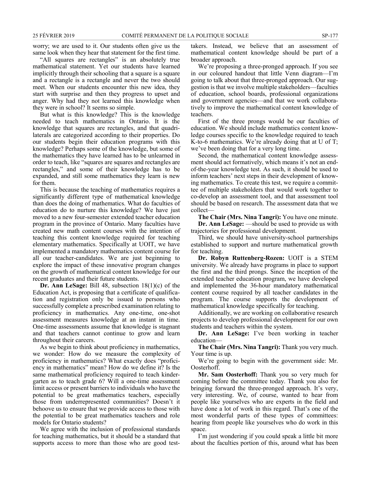worry; we are used to it. Our students often give us the same look when they hear that statement for the first time.

"All squares are rectangles" is an absolutely true mathematical statement. Yet our students have learned implicitly through their schooling that a square is a square and a rectangle is a rectangle and never the two should meet. When our students encounter this new idea, they start with surprise and then they progress to upset and anger. Why had they not learned this knowledge when they were in school? It seems so simple.

But what is this knowledge? This is the knowledge needed to teach mathematics in Ontario. It is the knowledge that squares are rectangles, and that quadrilaterals are categorized according to their properties. Do our students begin their education programs with this knowledge? Perhaps some of the knowledge, but some of the mathematics they have learned has to be unlearned in order to teach, like "squares are squares and rectangles are rectangles," and some of their knowledge has to be expanded, and still some mathematics they learn is new for them.

This is because the teaching of mathematics requires a significantly different type of mathematical knowledge than does the doing of mathematics. What do faculties of education do to nurture this knowledge? We have just moved to a new four-semester extended teacher education program in the province of Ontario. Many faculties have created new math content courses with the intention of teaching this content knowledge required for teaching elementary mathematics. Specifically at UOIT, we have implemented a mandatory mathematics content course for all our teacher-candidates. We are just beginning to explore the impact of these innovative program changes on the growth of mathematical content knowledge for our recent graduates and their future students.

**Dr. Ann LeSage:** Bill 48, subsection 18(1)(c) of the Education Act, is proposing that a certificate of qualification and registration only be issued to persons who successfully complete a prescribed examination relating to proficiency in mathematics. Any one-time, one-shot assessment measures knowledge at an instant in time. One-time assessments assume that knowledge is stagnant and that teachers cannot continue to grow and learn throughout their careers.

As we begin to think about proficiency in mathematics, we wonder: How do we measure the complexity of proficiency in mathematics? What exactly does "proficiency in mathematics" mean? How do we define it? Is the same mathematical proficiency required to teach kindergarten as to teach grade 6? Will a one-time assessment limit access or present barriers to individuals who have the potential to be great mathematics teachers, especially those from underrepresented communities? Doesn't it behoove us to ensure that we provide access to those with the potential to be great mathematics teachers and role models for Ontario students?

We agree with the inclusion of professional standards for teaching mathematics, but it should be a standard that supports access to more than those who are good testtakers. Instead, we believe that an assessment of mathematical content knowledge should be part of a broader approach.

We're proposing a three-pronged approach. If you see in our coloured handout that little Venn diagram—I'm going to talk about that three-pronged approach. Our suggestion is that we involve multiple stakeholders—faculties of education, school boards, professional organizations and government agencies—and that we work collaboratively to improve the mathematical content knowledge of teachers.

First of the three prongs would be our faculties of education. We should include mathematics content knowledge courses specific to the knowledge required to teach K-to-6 mathematics. We're already doing that at U of T; we've been doing that for a very long time.

Second, the mathematical content knowledge assessment should act formatively, which means it's not an endof-the-year knowledge test. As such, it should be used to inform teachers' next steps in their development of knowing mathematics. To create this test, we require a committee of multiple stakeholders that would work together to co-develop an assessment tool, and that assessment tool should be based on research. The assessment data that we collect—

**The Chair (Mrs. Nina Tangri):** You have one minute. **Dr. Ann LeSage:** —should be used to provide us with trajectories for professional development.

Third, we should have university-school partnerships established to support and nurture mathematical growth for teaching.

**Dr. Robyn Ruttenberg-Rozen:** UOIT is a STEM university. We already have programs in place to support the first and the third prongs. Since the inception of the extended teacher education program, we have developed and implemented the 36-hour mandatory mathematical content course required by all teacher candidates in the program. The course supports the development of mathematical knowledge specifically for teaching.

Additionally, we are working on collaborative research projects to develop professional development for our own students and teachers within the system.

**Dr. Ann LeSage:** I've been working in teacher education—

**The Chair (Mrs. Nina Tangri):** Thank you very much. Your time is up.

We're going to begin with the government side: Mr. Oosterhoff.

**Mr. Sam Oosterhoff:** Thank you so very much for coming before the committee today. Thank you also for bringing forward the three-pronged approach. It's very, very interesting. We, of course, wanted to hear from people like yourselves who are experts in the field and have done a lot of work in this regard. That's one of the most wonderful parts of these types of committees: hearing from people like yourselves who do work in this space.

I'm just wondering if you could speak a little bit more about the faculties portion of this, around what has been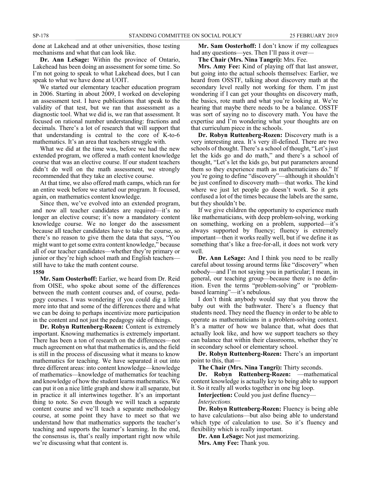done at Lakehead and at other universities, those testing mechanisms and what that can look like.

**Dr. Ann LeSage:** Within the province of Ontario, Lakehead has been doing an assessment for some time. So I'm not going to speak to what Lakehead does, but I can speak to what we have done at UOIT.

We started our elementary teacher education program in 2006. Starting in about 2009, I worked on developing an assessment test. I have publications that speak to the validity of that test, but we ran that assessment as a diagnostic tool. What we did is, we ran that assessment. It focused on rational number understanding: fractions and decimals. There's a lot of research that will support that that understanding is central to the core of K-to-6 mathematics. It's an area that teachers struggle with.

What we did at the time was, before we had the new extended program, we offered a math content knowledge course that was an elective course. If our student teachers didn't do well on the math assessment, we strongly recommended that they take an elective course.

At that time, we also offered math camps, which ran for an entire week before we started our program. It focused, again, on mathematics content knowledge.

Since then, we've evolved into an extended program, and now all teacher candidates are required—it's no longer an elective course; it's now a mandatory content knowledge course. We no longer do the assessment because all teacher candidates have to take the course, so there's no reason to give them the data that says, "You might want to get some extra content knowledge," because all of our teacher candidates—whether they're primary or junior or they're high school math and English teachers still have to take the math content course. **1550**

**Mr. Sam Oosterhoff:** Earlier, we heard from Dr. Reid from OISE, who spoke about some of the differences between the math content courses and, of course, pedagogy courses. I was wondering if you could dig a little more into that and some of the differences there and what we can be doing to perhaps incentivize more participation in the content and not just the pedagogy side of things.

**Dr. Robyn Ruttenberg-Rozen:** Content is extremely important. Knowing mathematics is extremely important. There has been a ton of research on the differences—not much agreement on what that mathematics is, and the field is still in the process of discussing what it means to know mathematics for teaching. We have separated it out into three different areas: into content knowledge—knowledge of mathematics—knowledge of mathematics for teaching and knowledge of how the student learns mathematics. We can put it on a nice little graph and show it all separate, but in practice it all intertwines together. It's an important thing to note. So even though we will teach a separate content course and we'll teach a separate methodology course, at some point they have to meet so that we understand how that mathematics supports the teacher's teaching and supports the learner's learning. In the end, the consensus is, that's really important right now while we're discussing what that content is.

**Mr. Sam Oosterhoff:** I don't know if my colleagues had any questions—yes. Then I'll pass it over—

**The Chair (Mrs. Nina Tangri):** Mrs. Fee.

**Mrs. Amy Fee:** Kind of playing off that last answer, but going into the actual schools themselves: Earlier, we heard from OSSTF, talking about discovery math at the secondary level really not working for them. I'm just wondering if I can get your thoughts on discovery math, the basics, rote math and what you're looking at. We're hearing that maybe there needs to be a balance. OSSTF was sort of saying no to discovery math. You have the expertise and I'm wondering what your thoughts are on that curriculum piece in the schools.

**Dr. Robyn Ruttenberg-Rozen:** Discovery math is a very interesting area. It's very ill-defined. There are two schools of thought. There's a school of thought, "Let's just let the kids go and do math," and there's a school of thought, "Let's let the kids go, but put parameters around them so they experience math as mathematicians do." If you're going to define "discovery"—although it shouldn't be just confined to discovery math—that works. The kind where we just let people go doesn't work. So it gets confused a lot of the times because the labels are the same, but they shouldn't be.

If we give children the opportunity to experience math like mathematicians, with deep problem-solving, working on something, working on a problem, supported—it's always supported by fluency; fluency is extremely important—then it works really well, but if we define it as something that's like a free-for-all, it does not work very well.

**Dr. Ann LeSage:** And I think you need to be really careful about tossing around terms like "discovery" when nobody—and I'm not saying you in particular; I mean, in general, our teaching group—because there is no definition. Even the terms "problem-solving" or "problembased learning"—it's nebulous.

I don't think anybody would say that you throw the baby out with the bathwater. There's a fluency that students need. They need the fluency in order to be able to operate as mathematicians in a problem-solving context. It's a matter of how we balance that, what does that actually look like, and how we support teachers so they can balance that within their classrooms, whether they're in secondary school or elementary school.

**Dr. Robyn Ruttenberg-Rozen:** There's an important point to this, that—

**The Chair (Mrs. Nina Tangri):** Thirty seconds.

**Dr. Robyn Ruttenberg-Rozen:** —mathematical content knowledge is actually key to being able to support it. So it really all works together in one big loop.

**Interjection:** Could you just define fluency—

*Interjections.*

**Dr. Robyn Ruttenberg-Rozen:** Fluency is being able to have calculations—but also being able to understand which type of calculation to use. So it's fluency and flexibility which is really important.

**Dr. Ann LeSage:** Not just memorizing. **Mrs. Amy Fee:** Thank you.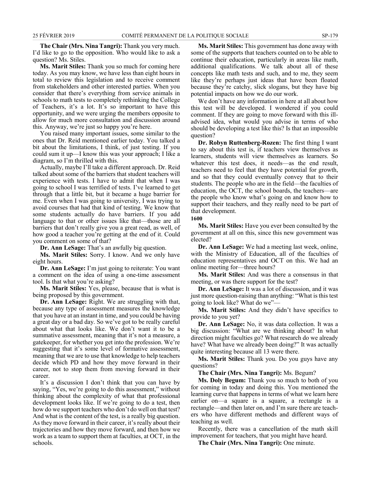**The Chair (Mrs. Nina Tangri):** Thank you very much. I'd like to go to the opposition. Who would like to ask a question? Ms. Stiles.

**Ms. Marit Stiles:** Thank you so much for coming here today. As you may know, we have less than eight hours in total to review this legislation and to receive comment from stakeholders and other interested parties. When you consider that there's everything from service animals in schools to math tests to completely rethinking the College of Teachers, it's a lot. It's so important to have this opportunity, and we were urging the members opposite to allow for much more consultation and discussion around this. Anyway, we're just so happy you're here.

You raised many important issues, some similar to the ones that Dr. Reid mentioned earlier today. You talked a bit about the limitations, I think, of just testing. If you could sum it up—I know this was your approach; I like a diagram, so I'm thrilled with this.

Actually, maybe I'll take a different approach. Dr. Reid talked about some of the barriers that student teachers will experience with tests. I have to admit that when I was going to school I was terrified of tests. I've learned to get through that a little bit, but it became a huge barrier for me. Even when I was going to university, I was trying to avoid courses that had that kind of testing. We know that some students actually do have barriers. If you add language to that or other issues like that—those are all barriers that don't really give you a great read, as well, of how good a teacher you're getting at the end of it. Could you comment on some of that?

**Dr. Ann LeSage:** That's an awfully big question.

**Ms. Marit Stiles:** Sorry. I know. And we only have eight hours.

**Dr. Ann LeSage:** I'm just going to reiterate: You want a comment on the idea of using a one-time assessment tool. Is that what you're asking?

**Ms. Marit Stiles:** Yes, please, because that is what is being proposed by this government.

**Dr. Ann LeSage:** Right. We are struggling with that, because any type of assessment measures the knowledge that you have at an instant in time, and you could be having a great day or a bad day. So we've got to be really careful about what that looks like. We don't want it to be a summative assessment, meaning that it's not a measure, a gatekeeper, for whether you get into the profession. We're suggesting that it's some level of formative assessment, meaning that we are to use that knowledge to help teachers decide which PD and how they move forward in their career, not to stop them from moving forward in their career.

It's a discussion I don't think that you can have by saying, "Yes, we're going to do this assessment," without thinking about the complexity of what that professional development looks like. If we're going to do a test, then how do we support teachers who don't do well on that test? And what is the content of the test, is a really big question. As they move forward in their career, it's really about their trajectories and how they move forward, and then how we work as a team to support them at faculties, at OCT, in the schools.

**Ms. Marit Stiles:** This government has done away with some of the supports that teachers counted on to be able to continue their education, particularly in areas like math, additional qualifications. We talk about all of these concepts like math tests and such, and to me, they seem like they're perhaps just ideas that have been floated because they're catchy, slick slogans, but they have big potential impacts on how we do our work.

We don't have any information in here at all about how this test will be developed. I wondered if you could comment. If they are going to move forward with this illadvised idea, what would you advise in terms of who should be developing a test like this? Is that an impossible question?

**Dr. Robyn Ruttenberg-Rozen:** The first thing I want to say about this test is, if teachers view themselves as learners, students will view themselves as learners. So whatever this test does, it needs—as the end result, teachers need to feel that they have potential for growth, and so that they could eventually convey that to their students. The people who are in the field—the faculties of education, the OCT, the school boards, the teachers—are the people who know what's going on and know how to support their teachers, and they really need to be part of that development.

**1600**

**Ms. Marit Stiles:** Have you ever been consulted by the government at all on this, since this new government was elected?

**Dr. Ann LeSage:** We had a meeting last week, online, with the Ministry of Education, all of the faculties of education representatives and OCT on this. We had an online meeting for—three hours?

**Ms. Marit Stiles:** And was there a consensus in that meeting, or was there support for the test?

**Dr. Ann LeSage:** It was a lot of discussion, and it was just more question-raising than anything: "What is this test going to look like? What do we"—

**Ms. Marit Stiles:** And they didn't have specifics to provide to you yet?

**Dr. Ann LeSage:** No, it was data collection. It was a big discussion: "What are we thinking about? In what direction might faculties go? What research do we already have? What have we already been doing?" It was actually quite interesting because all 13 were there.

**Ms. Marit Stiles:** Thank you. Do you guys have any questions?

**The Chair (Mrs. Nina Tangri):** Ms. Begum?

**Ms. Doly Begum:** Thank you so much to both of you for coming in today and doing this. You mentioned the learning curve that happens in terms of what we learn here earlier on—a square is a square, a rectangle is a rectangle—and then later on, and I'm sure there are teachers who have different methods and different ways of teaching as well.

Recently, there was a cancellation of the math skill improvement for teachers, that you might have heard.

**The Chair (Mrs. Nina Tangri):** One minute.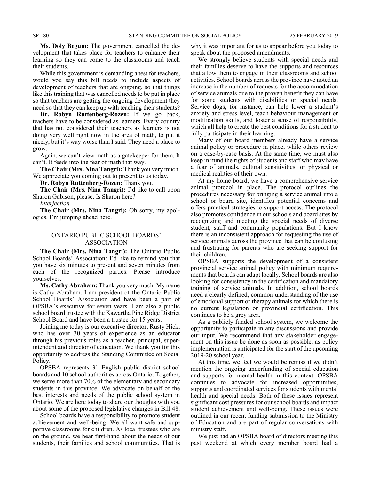**Ms. Doly Begum:** The government cancelled the development that takes place for teachers to enhance their learning so they can come to the classrooms and teach their students.

While this government is demanding a test for teachers, would you say this bill needs to include aspects of development of teachers that are ongoing, so that things like this training that was cancelled needs to be put in place so that teachers are getting the ongoing development they need so that they can keep up with teaching their students?

**Dr. Robyn Ruttenberg-Rozen:** If we go back, teachers have to be considered as learners. Every country that has not considered their teachers as learners is not doing very well right now in the area of math, to put it nicely, but it's way worse than I said. They need a place to grow.

Again, we can't view math as a gatekeeper for them. It can't. It feeds into the fear of math that way.

**The Chair (Mrs. Nina Tangri):** Thank you very much. We appreciate you coming out to present to us today.

**Dr. Robyn Ruttenberg-Rozen:** Thank you.

**The Chair (Mrs. Nina Tangri):** I'd like to call upon Sharon Gabison, please. Is Sharon here?

*Interjection.*

**The Chair (Mrs. Nina Tangri):** Oh sorry, my apologies. I'm jumping ahead here.

#### ONTARIO PUBLIC SCHOOL BOARDS' ASSOCIATION

**The Chair (Mrs. Nina Tangri):** The Ontario Public School Boards' Association: I'd like to remind you that you have six minutes to present and seven minutes from each of the recognized parties. Please introduce yourselves.

**Ms. Cathy Abraham:** Thank you very much. My name is Cathy Abraham. I am president of the Ontario Public School Boards' Association and have been a part of OPSBA's executive for seven years. I am also a public school board trustee with the Kawartha Pine Ridge District School Board and have been a trustee for 15 years.

Joining me today is our executive director, Rusty Hick, who has over 30 years of experience as an educator through his previous roles as a teacher, principal, superintendent and director of education. We thank you for this opportunity to address the Standing Committee on Social Policy.

OPSBA represents 31 English public district school boards and 10 school authorities across Ontario. Together, we serve more than 70% of the elementary and secondary students in this province. We advocate on behalf of the best interests and needs of the public school system in Ontario. We are here today to share our thoughts with you about some of the proposed legislative changes in Bill 48.

School boards have a responsibility to promote student achievement and well-being. We all want safe and supportive classrooms for children. As local trustees who are on the ground, we hear first-hand about the needs of our students, their families and school communities. That is

why it was important for us to appear before you today to speak about the proposed amendments.

We strongly believe students with special needs and their families deserve to have the supports and resources that allow them to engage in their classrooms and school activities. School boards across the province have noted an increase in the number of requests for the accommodation of service animals due to the proven benefit they can have for some students with disabilities or special needs. Service dogs, for instance, can help lower a student's anxiety and stress level, teach behaviour management or modification skills, and foster a sense of responsibility, which all help to create the best conditions for a student to fully participate in their learning.

Many of our board members already have a service animal policy or procedure in place, while others review on a case-by-case basis. At the same time, we must also keep in mind the rights of students and staff who may have a fear of animals, cultural sensitivities, or physical or medical realities of their own.

At my home board, we have a comprehensive service animal protocol in place. The protocol outlines the procedures necessary for bringing a service animal into a school or board site, identifies potential concerns and offers practical strategies to support access. The protocol also promotes confidence in our schools and board sites by recognizing and meeting the special needs of diverse student, staff and community populations. But I know there is an inconsistent approach for requesting the use of service animals across the province that can be confusing and frustrating for parents who are seeking support for their children.

OPSBA supports the development of a consistent provincial service animal policy with minimum requirements that boards can adapt locally. School boards are also looking for consistency in the certification and mandatory training of service animals. In addition, school boards need a clearly defined, common understanding of the use of emotional support or therapy animals for which there is no current legislation or provincial certification. This continues to be a grey area.

As a publicly funded school system, we welcome the opportunity to participate in any discussions and provide our input. We recommend that any stakeholder engagement on this issue be done as soon as possible, as policy implementation is anticipated for the start of the upcoming 2019-20 school year.

At this time, we feel we would be remiss if we didn't mention the ongoing underfunding of special education and supports for mental health in this context. OPSBA continues to advocate for increased opportunities, supports and coordinated services for students with mental health and special needs. Both of these issues represent significant cost pressures for our school boards and impact student achievement and well-being. These issues were outlined in our recent funding submission to the Ministry of Education and are part of regular conversations with ministry staff.

We just had an OPSBA board of directors meeting this past weekend at which every member board had a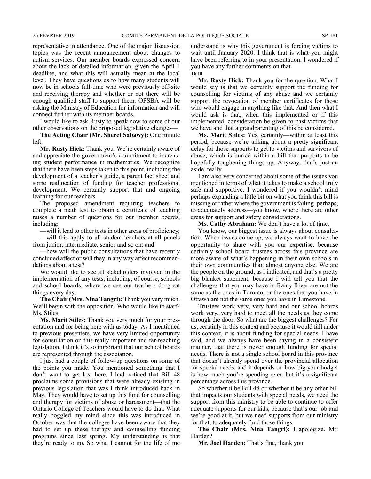representative in attendance. One of the major discussion topics was the recent announcement about changes to autism services. Our member boards expressed concern about the lack of detailed information, given the April 1 deadline, and what this will actually mean at the local level. They have questions as to how many students will now be in schools full-time who were previously off-site and receiving therapy and whether or not there will be enough qualified staff to support them. OPSBA will be asking the Ministry of Education for information and will connect further with its member boards.

I would like to ask Rusty to speak now to some of our other observations on the proposed legislative changes—

**The Acting Chair (Mr. Sheref Sabawy):** One minute left.

**Mr. Rusty Hick:** Thank you. We're certainly aware of and appreciate the government's commitment to increasing student performance in mathematics. We recognize that there have been steps taken to this point, including the development of a teacher's guide, a parent fact sheet and some reallocation of funding for teacher professional development. We certainly support that and ongoing learning for our teachers.

The proposed amendment requiring teachers to complete a math test to obtain a certificate of teaching raises a number of questions for our member boards, including:

—will it lead to other tests in other areas of proficiency; —will this apply to all student teachers at all panels from junior, intermediate, senior and so on; and

—how will the public consultations that have recently concluded affect or will they in any way affect recommendations about a test?

We would like to see all stakeholders involved in the implementation of any tests, including, of course, schools and school boards, where we see our teachers do great things every day.

**The Chair (Mrs. Nina Tangri):** Thank you very much. We'll begin with the opposition. Who would like to start? Ms. Stiles.

**Ms. Marit Stiles:** Thank you very much for your presentation and for being here with us today. As I mentioned to previous presenters, we have very limited opportunity for consultation on this really important and far-reaching legislation. I think it's so important that our school boards are represented through the association.

I just had a couple of follow-up questions on some of the points you made. You mentioned something that I don't want to get lost here. I had noticed that Bill 48 proclaims some provisions that were already existing in previous legislation that was I think introduced back in May. They would have to set up this fund for counselling and therapy for victims of abuse or harassment—that the Ontario College of Teachers would have to do that. What really boggled my mind since this was introduced in October was that the colleges have been aware that they had to set up these therapy and counselling funding programs since last spring. My understanding is that they're ready to go. So what I cannot for the life of me

understand is why this government is forcing victims to wait until January 2020. I think that is what you might have been referring to in your presentation. I wondered if you have any further comments on that.

**1610**

**Mr. Rusty Hick:** Thank you for the question. What I would say is that we certainly support the funding for counselling for victims of any abuse and we certainly support the revocation of member certificates for those who would engage in anything like that. And then what I would ask is that, when this implemented or if this implemented, consideration be given to past victims that we have and that a grandparenting of this be considered.

**Ms. Marit Stiles:** Yes, certainly—within at least this period, because we're talking about a pretty significant delay for those supports to get to victims and survivors of abuse, which is buried within a bill that purports to be hopefully toughening things up. Anyway, that's just an aside, really.

I am also very concerned about some of the issues you mentioned in terms of what it takes to make a school truly safe and supportive. I wondered if you wouldn't mind perhaps expanding a little bit on what you think this bill is missing or rather where the government is failing, perhaps, to adequately address—you know, where there are other areas for support and safety considerations.

**Ms. Cathy Abraham:** We don't have a lot of time.

You know, our biggest issue is always about consultation. When issues come up, we always want to have the opportunity to share with you our expertise, because certainly school board trustees across this province are more aware of what's happening in their own schools in their own communities than almost anyone else. We are the people on the ground, as I indicated, and that's a pretty big blanket statement, because I will tell you that the challenges that you may have in Rainy River are not the same as the ones in Toronto, or the ones that you have in Ottawa are not the same ones you have in Limestone.

Trustees work very, very hard and our school boards work very, very hard to meet all the needs as they come through the door. So what are the biggest challenges? For us, certainly in this context and because it would fall under this context, it is about funding for special needs. I have said, and we always have been saying in a consistent manner, that there is never enough funding for special needs. There is not a single school board in this province that doesn't already spend over the provincial allocation for special needs, and it depends on how big your budget is how much you're spending over, but it's a significant percentage across this province.

So whether it be Bill 48 or whether it be any other bill that impacts our students with special needs, we need the support from this ministry to be able to continue to offer adequate supports for our kids, because that's our job and we're good at it, but we need supports from our ministry for that, to adequately fund those things.

**The Chair (Mrs. Nina Tangri):** I apologize. Mr. Harden?

**Mr. Joel Harden:** That's fine, thank you.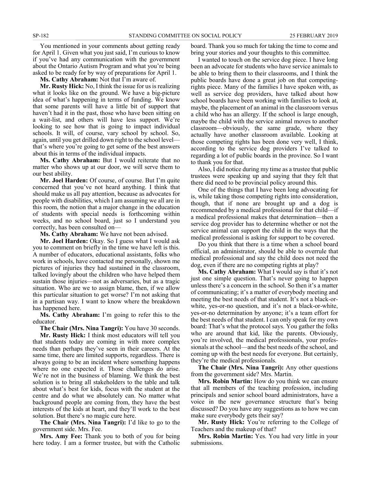You mentioned in your comments about getting ready for April 1. Given what you just said, I'm curious to know if you've had any communication with the government about the Ontario Autism Program and what you're being asked to be ready for by way of preparations for April 1.

**Ms. Cathy Abraham:** Not that I'm aware of.

**Mr. Rusty Hick:** No, I think the issue for us is realizing what it looks like on the ground. We have a big-picture idea of what's happening in terms of funding. We know that some parents will have a little bit of support that haven't had it in the past, those who have been sitting on a wait-list, and others will have less support. We're looking to see how that is going to impact individual schools. It will, of course, vary school by school. So, again, until you get drilled down right to the school level that's where you're going to get some of the best answers about this in terms of the individual impacts.

**Ms. Cathy Abraham:** But I would reiterate that no matter who shows up at our door, we will serve them to our best ability.

**Mr. Joel Harden:** Of course, of course. But I'm quite concerned that you've not heard anything. I think that should make us all pay attention, because as advocates for people with disabilities, which I am assuming we all are in this room, the notion that a major change in the education of students with special needs is forthcoming within weeks, and no school board, just so I understand you correctly, has been consulted on—

**Ms. Cathy Abraham:** We have not been advised.

**Mr. Joel Harden:** Okay. So I guess what I would ask you to comment on briefly in the time we have left is this. A number of educators, educational assistants, folks who work in schools, have contacted me personally, shown me pictures of injuries they had sustained in the classroom, talked lovingly about the children who have helped them sustain those injuries—not as adversaries, but as a tragic situation. Who are we to assign blame, then, if we allow this particular situation to get worse? I'm not asking that in a partisan way. I want to know where the breakdown has happened here.

**Ms. Cathy Abraham:** I'm going to refer this to the educator.

**The Chair (Mrs. Nina Tangri):** You have 30 seconds. **Mr. Rusty Hick:** I think most educators will tell you that students today are coming in with more complex needs than perhaps they've seen in their careers. At the same time, there are limited supports, regardless. There is

always going to be an incident where something happens where no one expected it. Those challenges do arise. We're not in the business of blaming. We think the best solution is to bring all stakeholders to the table and talk about what's best for kids, focus with the student at the centre and do what we absolutely can. No matter what background people are coming from, they have the best interests of the kids at heart, and they'll work to the best solution. But there's no magic cure here.

**The Chair (Mrs. Nina Tangri):** I'd like to go to the government side. Mrs. Fee.

**Mrs. Amy Fee:** Thank you to both of you for being here today. I am a former trustee, but with the Catholic board. Thank you so much for taking the time to come and bring your stories and your thoughts to this committee.

I wanted to touch on the service dog piece. I have long been an advocate for students who have service animals to be able to bring them to their classrooms, and I think the public boards have done a great job on that competingrights piece. Many of the families I have spoken with, as well as service dog providers, have talked about how school boards have been working with families to look at, maybe, the placement of an animal in the classroom versus a child who has an allergy. If the school is large enough, maybe the child with the service animal moves to another classroom—obviously, the same grade, where they actually have another classroom available. Looking at those competing rights has been done very well, I think, according to the service dog providers I've talked to regarding a lot of public boards in the province. So I want to thank you for that.

Also, I did notice during my time as a trustee that public trustees were speaking up and saying that they felt that there did need to be provincial policy around this.

One of the things that I have been long advocating for is, while taking those competing rights into consideration, though, that if none are brought up and a dog is recommended by a medical professional for that child—if a medical professional makes that determination—then a service dog provider has to determine whether or not the service animal can support the child in the ways that the medical professional is asking for support to be covered.

Do you think that there is a time when a school board official, an administrator, should be able to overrule that medical professional and say the child does not need the dog, even if there are no competing rights at play?

**Ms. Cathy Abraham:** What I would say is that it's not just one simple question. That's never going to happen unless there's a concern in the school. So then it's a matter of communicating; it's a matter of everybody meeting and meeting the best needs of that student. It's not a black-orwhite, yes-or-no question, and it's not a black-or-white, yes-or-no determination by anyone; it's a team effort for the best needs of that student. I can only speak for my own board: That's what the protocol says. You gather the folks who are around that kid, like the parents. Obviously, you're involved, the medical professionals, your professionals at the school—and the best needs of the school, and coming up with the best needs for everyone. But certainly, they're the medical professionals.

**The Chair (Mrs. Nina Tangri):** Any other questions from the government side? Mrs. Martin.

**Mrs. Robin Martin:** How do you think we can ensure that all members of the teaching profession, including principals and senior school board administrators, have a voice in the new governance structure that's being discussed? Do you have any suggestions as to how we can make sure everybody gets their say?

**Mr. Rusty Hick:** You're referring to the College of Teachers and the makeup of that?

**Mrs. Robin Martin:** Yes. You had very little in your submissions.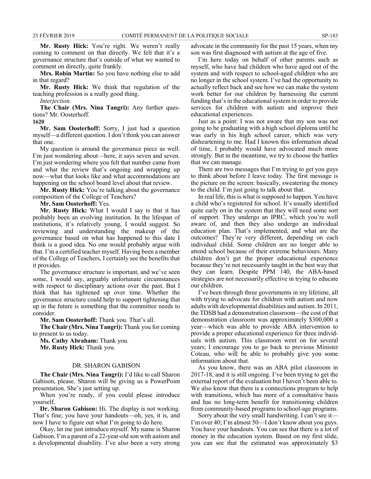**Mr. Rusty Hick:** You're right. We weren't really coming to comment on that directly. We felt that it's a governance structure that's outside of what we wanted to comment on directly, quite frankly.

**Mrs. Robin Martin:** So you have nothing else to add in that regard?

**Mr. Rusty Hick:** We think that regulation of the teaching profession is a really good thing.

*Interjection.*

**The Chair (Mrs. Nina Tangri):** Any further questions? Mr. Oosterhoff.

**1620**

**Mr. Sam Oosterhoff:** Sorry, I just had a question myself—a different question. I don't think you can answer that one.

My question is around the governance piece as well. I'm just wondering about—here, it says seven and seven. I'm just wondering where you felt that number came from and what the review that's ongoing and wrapping up now—what that looks like and what accommodations are happening on the school board level about that review.

**Mr. Rusty Hick:** You're talking about the governance composition of the College of Teachers?

**Mr. Sam Oosterhoff:** Yes.

**Mr. Rusty Hick:** What I would I say is that it has probably been an evolving institution. In the lifespan of institutions, it's relatively young, I would suggest. So reviewing and understanding the makeup of the governance based on what has happened to this date I think is a good idea. No one would probably argue with that. I'm a certified teacher myself. Having been a member of the College of Teachers, I certainly see the benefits that it provides.

The governance structure is important, and we've seen some, I would say, arguably unfortunate circumstances with respect to disciplinary actions over the past. But I think that has tightened up over time. Whether the governance structure could help to support tightening that up in the future is something that the committee needs to consider.

**Mr. Sam Oosterhoff:** Thank you. That's all.

**The Chair (Mrs. Nina Tangri):** Thank you for coming to present to us today.

**Ms. Cathy Abraham:** Thank you. **Mr. Rusty Hick:** Thank you.

#### DR. SHARON GABISON

**The Chair (Mrs. Nina Tangri):** I'd like to call Sharon Gabison, please. Sharon will be giving us a PowerPoint presentation. She's just setting up.

When you're ready, if you could please introduce yourself.

**Dr. Sharon Gabison:** Hi. The display is not working. That's fine; you have your handouts—oh, yes, it is, and now I have to figure out what I'm going to do here.

Okay, let me just introduce myself. My name is Sharon Gabison. I'm a parent of a 22-year-old son with autism and a developmental disability. I've also been a very strong advocate in the community for the past 15 years, when my son was first diagnosed with autism at the age of five.

I'm here today on behalf of other parents such as myself, who have had children who have aged out of the system and with respect to school-aged children who are no longer in the school system. I've had the opportunity to actually reflect back and see how we can make the system work better for our children by harnessing the current funding that's in the educational system in order to provide services for children with autism and improve their educational experiences.

Just as a point: I was not aware that my son was not going to be graduating with a high school diploma until he was early in his high school career, which was very disheartening to me. Had I known this information ahead of time, I probably would have advocated much more strongly. But in the meantime, we try to choose the battles that we can manage.

There are two messages that I'm trying to get you guys to think about before I leave today. The first message is the picture on the screen: basically, sweatering the money to the child. I'm just going to talk about that.

In real life, this is what is supposed to happen. You have a child who's registered for school. It's usually identified quite early on in the system that they will need some sort of support. They undergo an IPRC, which you're well aware of, and then they also undergo an individual education plan. That's implemented, and what are the outcomes? They're very different, depending on each individual child. Some children are no longer able to attend school because of their extreme behaviours. Many children don't get the proper educational experience because they're not necessarily taught in the best way that they can learn. Despite PPM 140, the ABA-based strategies are not necessarily effective in trying to educate our children.

I've been through three governments in my lifetime, all with trying to advocate for children with autism and now adults with developmental disabilities and autism. In 2011, the TDSB had a demonstration classroom—the cost of that demonstration classroom was approximately \$300,000 a year—which was able to provide ABA intervention to provide a proper educational experience for three individuals with autism. This classroom went on for several years; I encourage you to go back to previous Minister Coteau, who will be able to probably give you some information about that.

As you know, there was an ABA pilot classroom in 2017-18, and it is still ongoing. I've been trying to get the external report of the evaluation but I haven't been able to. We also know that there is a connections program to help with transitions, which has more of a consultative basis and has no long-term benefit for transitioning children from community-based programs to school-age programs.

Sorry about the very small handwriting. I can't see it— I'm over 40; I'm almost 50—I don't know about you guys. You have your handouts. You can see that there is a lot of money in the education system. Based on my first slide, you can see that the estimated was approximately \$3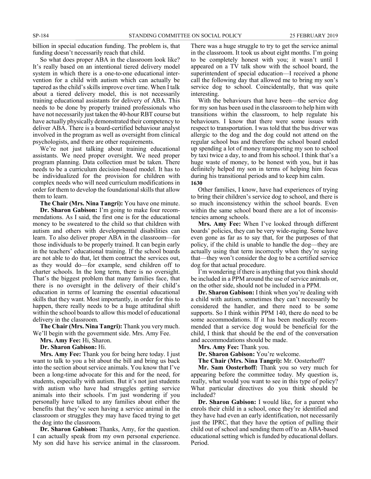billion in special education funding. The problem is, that funding doesn't necessarily reach that child.

So what does proper ABA in the classroom look like? It's really based on an intentional tiered delivery model system in which there is a one-to-one educational intervention for a child with autism which can actually be tapered as the child's skills improve over time. When I talk about a tiered delivery model, this is not necessarily training educational assistants for delivery of ABA. This needs to be done by properly trained professionals who have not necessarily just taken the 40-hour RBT course but have actually physically demonstrated their competency to deliver ABA. There is a board-certified behaviour analyst involved in the program as well as oversight from clinical psychologists, and there are other requirements.

We're not just talking about training educational assistants. We need proper oversight. We need proper program planning. Data collection must be taken. There needs to be a curriculum decision-based model. It has to be individualized for the provision for children with complex needs who will need curriculum modifications in order for them to develop the foundational skills that allow them to learn.

**The Chair (Mrs. Nina Tangri):** You have one minute.

**Dr. Sharon Gabison:** I'm going to make four recommendations. As I said, the first one is for the educational money to be sweatered to the child so that children with autism and others with developmental disabilities can learn. To also deliver proper ABA in the classroom—for those individuals to be properly trained. It can begin early in the teachers' educational training. If the school boards are not able to do that, let them contract the services out, as they would do—for example, send children off to charter schools. In the long term, there is no oversight. That's the biggest problem that many families face, that there is no oversight in the delivery of their child's education in terms of learning the essential educational skills that they want. Most importantly, in order for this to happen, there really needs to be a huge attitudinal shift within the school boards to allow this model of educational delivery in the classroom.

**The Chair (Mrs. Nina Tangri):** Thank you very much. We'll begin with the government side. Mrs. Amy Fee.

**Mrs. Amy Fee:** Hi, Sharon.

**Dr. Sharon Gabison:** Hi.

**Mrs. Amy Fee:** Thank you for being here today. I just want to talk to you a bit about the bill and bring us back into the section about service animals. You know that I've been a long-time advocate for this and for the need, for students, especially with autism. But it's not just students with autism who have had struggles getting service animals into their schools. I'm just wondering if you personally have talked to any families about either the benefits that they've seen having a service animal in the classroom or struggles they may have faced trying to get the dog into the classroom.

**Dr. Sharon Gabison:** Thanks, Amy, for the question. I can actually speak from my own personal experience. My son did have his service animal in the classroom. There was a huge struggle to try to get the service animal in the classroom. It took us about eight months. I'm going to be completely honest with you; it wasn't until I appeared on a TV talk show with the school board, the superintendent of special education—I received a phone call the following day that allowed me to bring my son's service dog to school. Coincidentally, that was quite interesting.

With the behaviours that have been—the service dog for my son has been used in the classroom to help him with transitions within the classroom, to help regulate his behaviours. I know that there were some issues with respect to transportation. I was told that the bus driver was allergic to the dog and the dog could not attend on the regular school bus and therefore the school board ended up spending a lot of money transporting my son to school by taxi twice a day, to and from his school. I think that's a huge waste of money, to be honest with you, but it has definitely helped my son in terms of helping him focus during his transitional periods and to keep him calm. **1630**

Other families, I know, have had experiences of trying to bring their children's service dog to school, and there is so much inconsistency within the school boards. Even within the same school board there are a lot of inconsistencies among schools.

**Mrs. Amy Fee:** When I've looked through different boards' policies, they can be very wide-raging. Some have even gone as far as to say that, for the purposes of that policy, if the child is unable to handle the dog—they are actually using that term incorrectly when they're saying that—they won't consider the dog to be a certified service dog for that actual procedure.

I'm wondering if there is anything that you think should be included in a PPM around the use of service animals or, on the other side, should not be included in a PPM.

**Dr. Sharon Gabison:** I think when you're dealing with a child with autism, sometimes they can't necessarily be considered the handler, and there need to be some supports. So I think within PPM 140, there do need to be some accommodations. If it has been medically recommended that a service dog would be beneficial for the child, I think that should be the end of the conversation and accommodations should be made.

**Mrs. Amy Fee:** Thank you.

**Dr. Sharon Gabison:** You're welcome.

**The Chair (Mrs. Nina Tangri):** Mr. Oosterhoff?

**Mr. Sam Oosterhoff:** Thank you so very much for appearing before the committee today. My question is, really, what would you want to see in this type of policy? What particular directives do you think should be included?

**Dr. Sharon Gabison:** I would like, for a parent who enrols their child in a school, once they're identified and they have had even an early identification, not necessarily just the IPRC, that they have the option of pulling their child out of school and sending them off to an ABA-based educational setting which is funded by educational dollars. Period.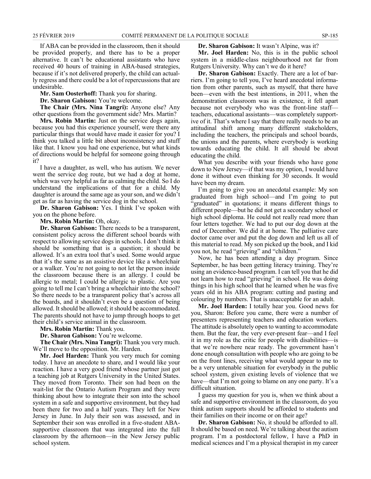If ABA can be provided in the classroom, then it should be provided properly, and there has to be a proper alternative. It can't be educational assistants who have received 40 hours of training in ABA-based strategies, because if it's not delivered properly, the child can actually regress and there could be a lot of repercussions that are undesirable.

**Mr. Sam Oosterhoff:** Thank you for sharing.

**Dr. Sharon Gabison:** You're welcome.

**The Chair (Mrs. Nina Tangri):** Anyone else? Any other questions from the government side? Mrs. Martin?

**Mrs. Robin Martin:** Just on the service dogs again, because you had this experience yourself, were there any particular things that would have made it easier for you? I think you talked a little bit about inconsistency and stuff like that. I know you had one experience, but what kinds of directions would be helpful for someone going through it?

I have a daughter, as well, who has autism. We never went the service dog route, but we had a dog at home, which was very helpful as far as calming the child. So I do understand the implications of that for a child. My daughter is around the same age as your son, and we didn't get as far as having the service dog in the school.

**Dr. Sharon Gabison:** Yes. I think I've spoken with you on the phone before.

**Mrs. Robin Martin:** Oh, okay.

**Dr. Sharon Gabison:** There needs to be a transparent, consistent policy across the different school boards with respect to allowing service dogs in schools. I don't think it should be something that is a question; it should be allowed. It's an extra tool that's used. Some would argue that it's the same as an assistive device like a wheelchair or a walker. You're not going to not let the person inside the classroom because there is an allergy. I could be allergic to metal; I could be allergic to plastic. Are you going to tell me I can't bring a wheelchair into the school? So there needs to be a transparent policy that's across all the boards, and it shouldn't even be a question of being allowed. It should be allowed; it should be accommodated. The parents should not have to jump through hoops to get their child's service animal in the classroom.

**Mrs. Robin Martin:** Thank you.

**Dr. Sharon Gabison:** You're welcome.

**The Chair (Mrs. Nina Tangri):** Thank you very much. We'll move to the opposition. Mr. Harden.

**Mr. Joel Harden:** Thank you very much for coming today. I have an anecdote to share, and I would like your reaction. I have a very good friend whose partner just got a teaching job at Rutgers University in the United States. They moved from Toronto. Their son had been on the wait-list for the Ontario Autism Program and they were thinking about how to integrate their son into the school system in a safe and supportive environment, but they had been there for two and a half years. They left for New Jersey in June. In July their son was assessed, and in September their son was enrolled in a five-student ABAsupportive classroom that was integrated into the full classroom by the afternoon—in the New Jersey public school system.

**Dr. Sharon Gabison:** It wasn't Alpine, was it?

**Mr. Joel Harden:** No, this is in the public school system in a middle-class neighbourhood not far from Rutgers University. Why can't we do it here?

**Dr. Sharon Gabison:** Exactly. There are a lot of barriers. I'm going to tell you, I've heard anecdotal information from other parents, such as myself, that there have been—even with the best intentions, in 2011, when the demonstration classroom was in existence, it fell apart because not everybody who was the front-line staff teachers, educational assistants—was completely supportive of it. That's where I say that there really needs to be an attitudinal shift among many different stakeholders, including the teachers, the principals and school boards, the unions and the parents, where everybody is working towards educating the child. It all should be about educating the child.

What you describe with your friends who have gone down to New Jersey—if that was my option, I would have done it without even thinking for 30 seconds. It would have been my dream.

I'm going to give you an anecdotal example: My son graduated from high school—and I'm going to put "graduated" in quotations; it means different things to different people—but he did not get a secondary school or high school diploma. He could not really read more than four letters together. We had to put our dog down at the end of December. We did it at home. The palliative care doctor came over and put the dog down and left us all of this material to read. My son picked up the book, and I kid you not, he read "grieving" and "children."

Now, he has been attending a day program. Since September, he has been getting literacy training. They're using an evidence-based program. I can tell you that he did not learn how to read "grieving" in school. He was doing things in his high school that he learned when he was five years old in his ABA program: cutting and pasting and colouring by numbers. That is unacceptable for an adult.

**Mr. Joel Harden:** I totally hear you. Good news for you, Sharon: Before you came, there were a number of presenters representing teachers and education workers. The attitude is absolutely open to wanting to accommodate them. But the fear, the very ever-present fear—and I feel it in my role as the critic for people with disabilities—is that we're nowhere near ready. The government hasn't done enough consultation with people who are going to be on the front lines, receiving what would appear to me to be a very untenable situation for everybody in the public school system, given existing levels of violence that we have—that I'm not going to blame on any one party. It's a difficult situation.

I guess my question for you is, when we think about a safe and supportive environment in the classroom, do you think autism supports should be afforded to students and their families on their income or on their age?

**Dr. Sharon Gabison:** No, it should be afforded to all. It should be based on need. We're talking about the autism program. I'm a postdoctoral fellow, I have a PhD in medical sciences and I'm a physical therapist in my career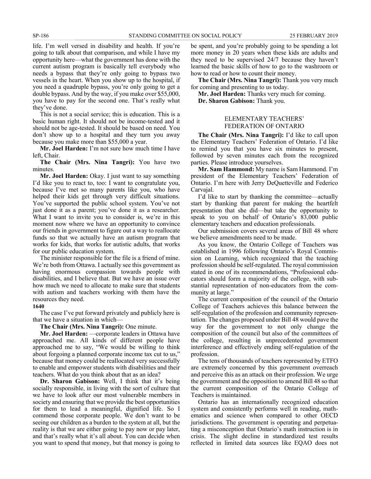life. I'm well versed in disability and health. If you're going to talk about that comparison, and while I have my opportunity here—what the government has done with the current autism program is basically tell everybody who needs a bypass that they're only going to bypass two vessels in the heart. When you show up to the hospital, if you need a quadruple bypass, you're only going to get a double bypass. And by the way, if you make over \$55,000, you have to pay for the second one. That's really what they've done.

This is not a social service; this is education. This is a basic human right. It should not be income-tested and it should not be age-tested. It should be based on need. You don't show up to a hospital and they turn you away because you make more than \$55,000 a year.

**Mr. Joel Harden:** I'm not sure how much time I have left, Chair.

**The Chair (Mrs. Nina Tangri):** You have two minutes.

**Mr. Joel Harden:** Okay. I just want to say something I'd like you to react to, too: I want to congratulate you, because I've met so many parents like you, who have helped their kids get through very difficult situations. You've supported the public school system. You've not just done it as a parent; you've done it as a researcher. What I want to invite you to consider is, we're in this moment now where we have an opportunity to convince our friends in government to figure out a way to reallocate funds so that we actually have an autism program that works for kids, that works for autistic adults, that works for our public education system.

The minister responsible for the file is a friend of mine. We're both from Ottawa. I actually see this government as having enormous compassion towards people with disabilities, and I believe that. But we have an issue over how much we need to allocate to make sure that students with autism and teachers working with them have the resources they need.

#### **1640**

The case I've put forward privately and publicly here is that we have a situation in which—

#### **The Chair (Mrs. Nina Tangri):** One minute.

**Mr. Joel Harden:** —corporate leaders in Ottawa have approached me. All kinds of different people have approached me to say, "We would be willing to think about forgoing a planned corporate income tax cut to us," because that money could be reallocated very successfully to enable and empower students with disabilities and their teachers. What do you think about that as an idea?

**Dr. Sharon Gabison:** Well, I think that it's being socially responsible, in living with the sort of culture that we have to look after our most vulnerable members in society and ensuring that we provide the best opportunities for them to lead a meaningful, dignified life. So I commend those corporate people. We don't want to be seeing our children as a burden to the system at all, but the reality is that we are either going to pay now or pay later, and that's really what it's all about. You can decide when you want to spend that money, but that money is going to be spent, and you're probably going to be spending a lot more money in 20 years when these kids are adults and they need to be supervised 24/7 because they haven't learned the basic skills of how to go to the washroom or how to read or how to count their money.

**The Chair (Mrs. Nina Tangri):** Thank you very much for coming and presenting to us today.

**Mr. Joel Harden:** Thanks very much for coming.

**Dr. Sharon Gabison:** Thank you.

#### ELEMENTARY TEACHERS' FEDERATION OF ONTARIO

**The Chair (Mrs. Nina Tangri):** I'd like to call upon the Elementary Teachers' Federation of Ontario. I'd like to remind you that you have six minutes to present, followed by seven minutes each from the recognized parties. Please introduce yourselves.

**Mr. Sam Hammond:** My name is Sam Hammond. I'm president of the Elementary Teachers' Federation of Ontario. I'm here with Jerry DeQuetteville and Federico Carvajal.

I'd like to start by thanking the committee—actually start by thanking that parent for making the heartfelt presentation that she did—but take the opportunity to speak to you on behalf of Ontario's 83,000 public elementary teachers and education professionals.

Our submission covers several areas of Bill 48 where we believe amendments need to be made.

As you know, the Ontario College of Teachers was established in 1996 following Ontario's Royal Commission on Learning, which recognized that the teaching profession should be self-regulated. The royal commission stated in one of its recommendations, "Professional educators should form a majority of the college, with substantial representation of non-educators from the community at large."

The current composition of the council of the Ontario College of Teachers achieves this balance between the self-regulation of the profession and community representation. The changes proposed under Bill 48 would pave the way for the government to not only change the composition of the council but also of the committees of the college, resulting in unprecedented government interference and effectively ending self-regulation of the profession.

The tens of thousands of teachers represented by ETFO are extremely concerned by this government overreach and perceive this as an attack on their profession. We urge the government and the opposition to amend Bill 48 so that the current composition of the Ontario College of Teachers is maintained.

Ontario has an internationally recognized education system and consistently performs well in reading, mathematics and science when compared to other OECD jurisdictions. The government is operating and perpetuating a misconception that Ontario's math instruction is in crisis. The slight decline in standardized test results reflected in limited data sources like EQAO does not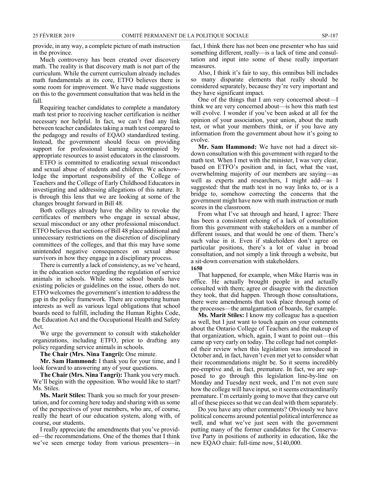provide, in any way, a complete picture of math instruction in the province.

Much controversy has been created over discovery math. The reality is that discovery math is not part of the curriculum. While the current curriculum already includes math fundamentals at its core, ETFO believes there is some room for improvement. We have made suggestions on this to the government consultation that was held in the fall.

Requiring teacher candidates to complete a mandatory math test prior to receiving teacher certification is neither necessary nor helpful. In fact, we can't find any link between teacher candidates taking a math test compared to the pedagogy and results of EQAO standardized testing. Instead, the government should focus on providing support for professional learning accompanied by appropriate resources to assist educators in the classroom.

ETFO is committed to eradicating sexual misconduct and sexual abuse of students and children. We acknowledge the important responsibility of the College of Teachers and the College of Early Childhood Educators in investigating and addressing allegations of this nature. It is through this lens that we are looking at some of the changes brought forward in Bill 48.

Both colleges already have the ability to revoke the certificates of members who engage in sexual abuse, sexual misconduct or any other professional misconduct. ETFO believes that sections of Bill 48 place additional and unnecessary restrictions on the discretion of disciplinary committees of the colleges, and that this may have some unintended negative consequences on sexual abuse survivors in how they engage in a disciplinary process.

There is currently a lack of consistency, as we've heard, in the education sector regarding the regulation of service animals in schools. While some school boards have existing policies or guidelines on the issue, others do not. ETFO welcomes the government's intention to address the gap in the policy framework. There are competing human interests as well as various legal obligations that school boards need to fulfill, including the Human Rights Code, the Education Act and the Occupational Health and Safety Act.

We urge the government to consult with stakeholder organizations, including ETFO, prior to drafting any policy regarding service animals in schools.

**The Chair (Mrs. Nina Tangri):** One minute.

**Mr. Sam Hammond:** I thank you for your time, and I look forward to answering any of your questions.

**The Chair (Mrs. Nina Tangri):** Thank you very much. We'll begin with the opposition. Who would like to start? Ms. Stiles.

**Ms. Marit Stiles:** Thank you so much for your presentation, and for coming here today and sharing with us some of the perspectives of your members, who are, of course, really the heart of our education system, along with, of course, our students.

I really appreciate the amendments that you've provided—the recommendations. One of the themes that I think we've seen emerge today from various presenters—in fact, I think there has not been one presenter who has said something different, really—is a lack of time and consultation and input into some of these really important measures.

Also, I think it's fair to say, this omnibus bill includes so many disparate elements that really should be considered separately, because they're very important and they have significant impact.

One of the things that I am very concerned about—I think we are very concerned about—is how this math test will evolve. I wonder if you've been asked at all for the opinion of your association, your union, about the math test, or what your members think, or if you have any information from the government about how it's going to evolve.

**Mr. Sam Hammond:** We have not had a direct sitdown consultation with this government with regard to the math test. When I met with the minister, I was very clear, based on ETFO's position and, in fact, what the vast, overwhelming majority of our members are saying—as well as experts and researchers, I might add—as I suggested: that the math test in no way links to, or is a bridge to, somehow correcting the concerns that the government might have now with math instruction or math scores in the classroom.

From what I've sat through and heard, I agree: There has been a consistent echoing of a lack of consultation from this government with stakeholders on a number of different issues, and that would be one of them. There's such value in it. Even if stakeholders don't agree on particular positions, there's a lot of value in broad consultation, and not simply a link through a website, but a sit-down conversation with stakeholders.

#### **1650**

That happened, for example, when Mike Harris was in office. He actually brought people in and actually consulted with them; agree or disagree with the direction they took, that did happen. Through those consultations, there were amendments that took place through some of the processes—the amalgamation of boards, for example.

**Ms. Marit Stiles:** I know my colleague has a question as well, but I just want to touch again on your comments about the Ontario College of Teachers and the makeup of that organization, which, again, I want to point out—this came up very early on today. The college had not completed their review when this legislation was introduced in October and, in fact, haven't even met yet to consider what their recommendations might be. So it seems incredibly pre-emptive and, in fact, premature. In fact, we are supposed to go through this legislation line-by-line on Monday and Tuesday next week, and I'm not even sure how the college will have input, so it seems extraordinarily premature. I'm certainly going to move that they carve out all of these pieces so that we can deal with them separately.

Do you have any other comments? Obviously we have political concerns around potential political interference as well, and what we've just seen with the government putting many of the former candidates for the Conservative Party in positions of authority in education, like the new EQAO chair: full-time now, \$140,000.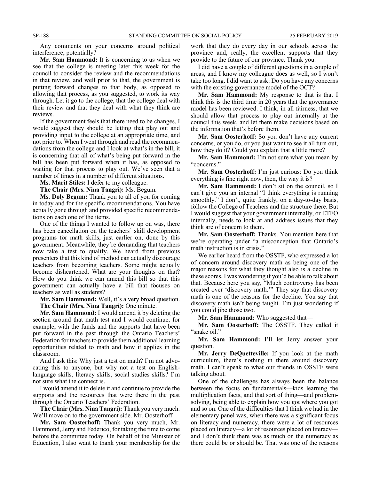Any comments on your concerns around political interference, potentially?

**Mr. Sam Hammond:** It is concerning to us when we see that the college is meeting later this week for the council to consider the review and the recommendations in that review, and well prior to that, the government is putting forward changes to that body, as opposed to allowing that process, as you suggested, to work its way through. Let it go to the college, that the college deal with their review and that they deal with what they think are reviews.

If the government feels that there need to be changes, I would suggest they should be letting that play out and providing input to the college at an appropriate time, and not prior to. When I went through and read the recommendations from the college and I look at what's in the bill, it is concerning that all of what's being put forward in the bill has been put forward when it has, as opposed to waiting for that process to play out. We've seen that a number of times in a number of different situations.

**Ms. Marit Stiles:** I defer to my colleague.

**The Chair (Mrs. Nina Tangri):** Ms. Begum.

**Ms. Doly Begum:** Thank you to all of you for coming in today and for the specific recommendations. You have actually gone through and provided specific recommendations on each one of the items.

One of the things I wanted to follow up on was, there has been cancellation on the teachers' skill development programs for math skills, just earlier on, done by this government. Meanwhile, they're demanding that teachers now take a test to qualify. We heard from previous presenters that this kind of method can actually discourage teachers from becoming teachers. Some might actually become disheartened. What are your thoughts on that? How do you think we can amend this bill so that this government can actually have a bill that focuses on teachers as well as students?

**Mr. Sam Hammond:** Well, it's a very broad question. **The Chair (Mrs. Nina Tangri):** One minute.

**Mr. Sam Hammond:** I would amend it by deleting the section around that math test and I would continue, for example, with the funds and the supports that have been put forward in the past through the Ontario Teachers' Federation for teachers to provide them additional learning opportunities related to math and how it applies in the classroom.

And I ask this: Why just a test on math? I'm not advocating this to anyone, but why not a test on Englishlanguage skills, literacy skills, social studies skills? I'm not sure what the connect is.

I would amend it to delete it and continue to provide the supports and the resources that were there in the past through the Ontario Teachers' Federation.

**The Chair (Mrs. Nina Tangri):** Thank you very much. We'll move on to the government side. Mr. Oosterhoff.

**Mr. Sam Oosterhoff:** Thank you very much, Mr. Hammond, Jerry and Federico, for taking the time to come before the committee today. On behalf of the Minister of Education, I also want to thank your membership for the

work that they do every day in our schools across the province and, really, the excellent supports that they provide to the future of our province. Thank you.

I did have a couple of different questions in a couple of areas, and I know my colleague does as well, so I won't take too long. I did want to ask: Do you have any concerns with the existing governance model of the OCT?

**Mr. Sam Hammond:** My response to that is that I think this is the third time in 20 years that the governance model has been reviewed. I think, in all fairness, that we should allow that process to play out internally at the council this week, and let them make decisions based on the information that's before them.

**Mr. Sam Oosterhoff:** So you don't have any current concerns, or you do, or you just want to see it all turn out, how they do it? Could you explain that a little more?

**Mr. Sam Hammond:** I'm not sure what you mean by "concerns."

**Mr. Sam Oosterhoff:** I'm just curious: Do you think everything is fine right now, then, the way it is?

**Mr. Sam Hammond:** I don't sit on the council, so I can't give you an internal "I think everything is running smoothly." I don't, quite frankly, on a day-to-day basis, follow the College of Teachers and the structure there. But I would suggest that your government internally, or ETFO internally, needs to look at and address issues that they think are of concern to them.

**Mr. Sam Oosterhoff:** Thanks. You mention here that we're operating under "a misconception that Ontario's math instruction is in crisis."

We earlier heard from the OSSTF, who expressed a lot of concern around discovery math as being one of the major reasons for what they thought also is a decline in these scores. I was wondering if you'd be able to talk about that. Because here you say, "Much controversy has been created over 'discovery math.'" They say that discovery math is one of the reasons for the decline. You say that discovery math isn't being taught. I'm just wondering if you could jibe those two.

**Mr. Sam Hammond:** Who suggested that—

**Mr. Sam Oosterhoff:** The OSSTF. They called it "snake oil."

**Mr. Sam Hammond:** I'll let Jerry answer your question.

**Mr. Jerry DeQuetteville:** If you look at the math curriculum, there's nothing in there around discovery math. I can't speak to what our friends in OSSTF were talking about.

One of the challenges has always been the balance between the focus on fundamentals—kids learning the multiplication facts, and that sort of thing—and problemsolving, being able to explain how you got where you got and so on. One of the difficulties that I think we had in the elementary panel was, when there was a significant focus on literacy and numeracy, there were a lot of resources placed on literacy—a lot of resources placed on literacy and I don't think there was as much on the numeracy as there could be or should be. That was one of the reasons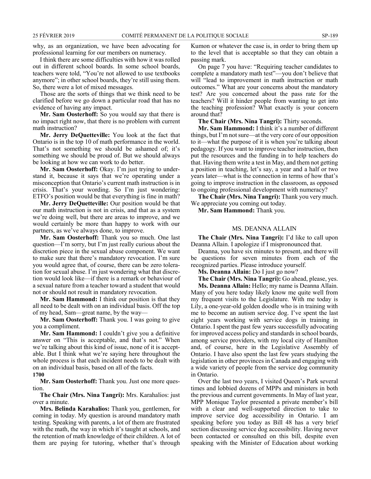why, as an organization, we have been advocating for professional learning for our members on numeracy.

I think there are some difficulties with how it was rolled out in different school boards. In some school boards, teachers were told, "You're not allowed to use textbooks anymore"; in other school boards, they're still using them. So, there were a lot of mixed messages.

Those are the sorts of things that we think need to be clarified before we go down a particular road that has no evidence of having any impact.

**Mr. Sam Oosterhoff:** So you would say that there is no impact right now, that there is no problem with current math instruction?

**Mr. Jerry DeQuetteville:** You look at the fact that Ontario is in the top 10 of math performance in the world. That's not something we should be ashamed of; it's something we should be proud of. But we should always be looking at how we can work to do better.

**Mr. Sam Oosterhoff:** Okay. I'm just trying to understand it, because it says that we're operating under a misconception that Ontario's current math instruction is in crisis. That's your wording. So I'm just wondering: ETFO's position would be that everything is fine in math?

**Mr. Jerry DeQuetteville:** Our position would be that our math instruction is not in crisis, and that as a system we're doing well, but there are areas to improve, and we would certainly be more than happy to work with our partners, as we've always done, to improve.

**Mr. Sam Oosterhoff:** Thank you so much. One last question—I'm sorry, but I'm just really curious about the discretion piece in the sexual abuse component. We want to make sure that there's mandatory revocation. I'm sure you would agree that, of course, there can be zero toleration for sexual abuse. I'm just wondering what that discretion would look like—if there is a remark or behaviour of a sexual nature from a teacher toward a student that would not or should not result in mandatory revocation.

**Mr. Sam Hammond:** I think our position is that they all need to be dealt with on an individual basis. Off the top of my head, Sam—great name, by the way—

**Mr. Sam Oosterhoff:** Thank you. I was going to give you a compliment.

**Mr. Sam Hammond:** I couldn't give you a definitive answer on "This is acceptable, and that's not." When we're talking about this kind of issue, none of it is acceptable. But I think what we're saying here throughout the whole process is that each incident needs to be dealt with on an individual basis, based on all of the facts.

**1700**

**Mr. Sam Oosterhoff:** Thank you. Just one more question.

**The Chair (Mrs. Nina Tangri):** Mrs. Karahalios: just over a minute.

**Mrs. Belinda Karahalios:** Thank you, gentlemen, for coming in today. My question is around mandatory math testing. Speaking with parents, a lot of them are frustrated with the math, the way in which it's taught at schools, and the retention of math knowledge of their children. A lot of them are paying for tutoring, whether that's through

Kumon or whatever the case is, in order to bring them up to the level that is acceptable so that they can obtain a passing mark.

On page 7 you have: "Requiring teacher candidates to complete a mandatory math test"—you don't believe that will "lead to improvement in math instruction or math outcomes." What are your concerns about the mandatory test? Are you concerned about the pass rate for the teachers? Will it hinder people from wanting to get into the teaching profession? What exactly is your concern around that?

**The Chair (Mrs. Nina Tangri):** Thirty seconds.

**Mr. Sam Hammond:** I think it's a number of different things, but I'm not sure—at the very core of our opposition to it—what the purpose of it is when you're talking about pedagogy. If you want to improve teacher instruction, then put the resources and the funding in to help teachers do that. Having them write a test in May, and them not getting a position in teaching, let's say, a year and a half or two years later—what is the connection in terms of how that's going to improve instruction in the classroom, as opposed to ongoing professional development with numeracy?

**The Chair (Mrs. Nina Tangri):** Thank you very much. We appreciate you coming out today.

**Mr. Sam Hammond:** Thank you.

#### MS. DEANNA ALLAIN

**The Chair (Mrs. Nina Tangri):** I'd like to call upon Deanna Allain. I apologize if I mispronounced that.

Deanna, you have six minutes to present, and there will be questions for seven minutes from each of the recognized parties. Please introduce yourself.

**Ms. Deanna Allain:** Do I just go now?

**The Chair (Mrs. Nina Tangri):** Go ahead, please, yes.

**Ms. Deanna Allain:** Hello; my name is Deanna Allain. Many of you here today likely know me quite well from my frequent visits to the Legislature. With me today is Lily, a one-year-old golden doodle who is in training with me to become an autism service dog. I've spent the last eight years working with service dogs in training in Ontario. I spent the past few years successfully advocating for improved access policy and standards in school boards, among service providers, with my local city of Hamilton and, of course, here in the Legislative Assembly of Ontario. I have also spent the last few years studying the legislation in other provinces in Canada and engaging with a wide variety of people from the service dog community in Ontario.

Over the last two years, I visited Queen's Park several times and lobbied dozens of MPPs and ministers in both the previous and current governments. In May of last year, MPP Monique Taylor presented a private member's bill with a clear and well-supported direction to take to improve service dog accessibility in Ontario. I am speaking before you today as Bill 48 has a very brief section discussing service dog accessibility. Having never been contacted or consulted on this bill, despite even speaking with the Minister of Education about working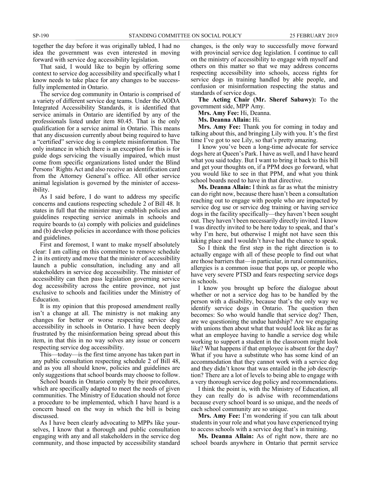together the day before it was originally tabled, I had no idea the government was even interested in moving forward with service dog accessibility legislation.

That said, I would like to begin by offering some context to service dog accessibility and specifically what I know needs to take place for any changes to be successfully implemented in Ontario.

The service dog community in Ontario is comprised of a variety of different service dog teams. Under the AODA Integrated Accessibility Standards, it is identified that service animals in Ontario are identified by any of the professionals listed under item 80.45. That is the only qualification for a service animal in Ontario. This means that any discussion currently about being required to have a "certified" service dog is complete misinformation. The only instance in which there is an exception for this is for guide dogs servicing the visually impaired, which must come from specific organizations listed under the Blind Persons' Rights Act and also receive an identification card from the Attorney General's office. All other service animal legislation is governed by the minister of accessibility.

As I said before, I do want to address my specific concerns and cautions respecting schedule 2 of Bill 48. It states in full that the minister may establish policies and guidelines respecting service animals in schools and require boards to (a) comply with policies and guidelines and (b) develop policies in accordance with those policies and guidelines.

First and foremost, I want to make myself absolutely clear: I am calling on this committee to remove schedule 2 in its entirety and move that the minister of accessibility launch a public consultation, including any and all stakeholders in service dog accessibility. The minister of accessibility can then pass legislation governing service dog accessibility across the entire province, not just exclusive to schools and facilities under the Ministry of Education.

It is my opinion that this proposed amendment really isn't a change at all. The ministry is not making any changes for better or worse respecting service dog accessibility in schools in Ontario. I have been deeply frustrated by the misinformation being spread about this item, in that this in no way solves any issue or concern respecting service dog accessibility.

This—today—is the first time anyone has taken part in any public consultation respecting schedule 2 of Bill 48, and as you all should know, policies and guidelines are only suggestions that school boards may choose to follow.

School boards in Ontario comply by their procedures, which are specifically adapted to meet the needs of given communities. The Ministry of Education should not force a procedure to be implemented, which I have heard is a concern based on the way in which the bill is being discussed.

As I have been clearly advocating to MPPs like yourselves, I know that a thorough and public consultation engaging with any and all stakeholders in the service dog community, and those impacted by accessibility standard

changes, is the only way to successfully move forward with provincial service dog legislation. I continue to call on the ministry of accessibility to engage with myself and others on this matter so that we may address concerns respecting accessibility into schools, access rights for service dogs in training handled by able people, and confusion or misinformation respecting the status and standards of service dogs.

**The Acting Chair (Mr. Sheref Sabawy):** To the government side, MPP Amy.

**Mrs. Amy Fee:** Hi, Deanna.

**Ms. Deanna Allain:** Hi.

**Mrs. Amy Fee:** Thank you for coming in today and talking about this, and bringing Lily with you. It's the first time I've got to see Lily, so that's pretty amazing.

I know you've been a long-time advocate for service dogs here at Queen's Park. I have as well, and I have heard what you said today. But I want to bring it back to this bill and get your thoughts on, if a PPM does go forward, what you would like to see in that PPM, and what you think school boards need to have in that directive.

**Ms. Deanna Allain:** I think as far as what the ministry can do right now, because there hasn't been a consultation reaching out to engage with people who are impacted by service dog use or service dog training or having service dogs in the facility specifically—they haven't been sought out. They haven't been necessarily directly invited. I know I was directly invited to be here today to speak, and that's why I'm here, but otherwise I might not have seen this taking place and I wouldn't have had the chance to speak.

So I think the first step in the right direction is to actually engage with all of these people to find out what are those barriers that—in particular, in rural communities, allergies is a common issue that pops up, or people who have very severe PTSD and fears respecting service dogs in schools.

I know you brought up before the dialogue about whether or not a service dog has to be handled by the person with a disability, because that's the only way we identify service dogs in Ontario. The question then becomes: So who would handle that service dog? Then, are we questioning the undue hardship? Are we engaging with unions then about what that would look like as far as what an employee having to handle a service dog while working to support a student in the classroom might look like? What happens if that employee is absent for the day? What if you have a substitute who has some kind of an accommodation that they cannot work with a service dog and they didn't know that was entailed in the job description? There are a lot of levels to being able to engage with a very thorough service dog policy and recommendations.

I think the point is, with the Ministry of Education, all they can really do is advise with recommendations because every school board is so unique, and the needs of each school community are so unique.

**Mrs. Amy Fee:** I'm wondering if you can talk about students in your role and what you have experienced trying to access schools with a service dog that's in training.

**Ms. Deanna Allain:** As of right now, there are no school boards anywhere in Ontario that permit service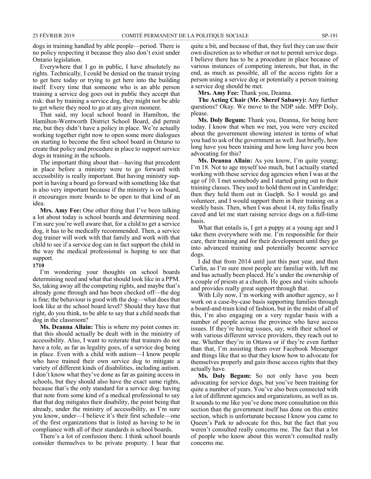dogs in training handled by able people—period. There is no policy respecting it because they also don't exist under Ontario legislation.

Everywhere that I go in public, I have absolutely no rights. Technically, I could be denied on the transit trying to get here today or trying to get here into the building itself. Every time that someone who is an able person training a service dog goes out in public they accept that risk: that by training a service dog, they might not be able to get where they need to go at any given moment.

That said, my local school board in Hamilton, the Hamilton-Wentworth District School Board, did permit me, but they didn't have a policy in place. We're actually working together right now to open some more dialogues on starting to become the first school board in Ontario to create that policy and procedure in place to support service dogs in training in the schools.

The important thing about that—having that precedent in place before a ministry were to go forward with accessibility is really important. But having ministry support in having a board go forward with something like that is also very important because if the ministry is on board, it encourages more boards to be open to that kind of an idea.

**Mrs. Amy Fee:** One other thing that I've been talking a lot about today is school boards and determining need. I'm sure you're well aware that, for a child to get a service dog, it has to be medically recommended. Then, a service dog trainer will work with that family and work with that child to see if a service dog can in fact support the child in the way the medical professional is hoping to see that support.

#### **1710**

I'm wondering your thoughts on school boards determining need and what that should look like in a PPM. So, taking away all the competing rights, and maybe that's already gone through and has been checked off—the dog is fine; the behaviour is good with the dog—what does that look like at the school board level? Should they have that right, do you think, to be able to say that a child needs that dog in the classroom?

**Ms. Deanna Allain:** This is where my point comes in: that this should actually be dealt with in the ministry of accessibility. Also, I want to reiterate that trainers do not have a role, as far as legality goes, of a service dog being in place. Even with a child with autism—I know people who have trained their own service dog to mitigate a variety of different kinds of disabilities, including autism. I don't know what they've done as far as gaining access in schools, but they should also have the exact same rights, because that's the only standard for a service dog: having that note from some kind of a medical professional to say that that dog mitigates their disability, the point being that already, under the ministry of accessibility, as I'm sure you know, under—I believe it's their first schedule—one of the first organizations that is listed as having to be in compliance with all of their standards is school boards.

There's a lot of confusion there. I think school boards consider themselves to be private property. I hear that quite a bit, and because of that, they feel they can use their own discretion as to whether or not to permit service dogs. I believe there has to be a procedure in place because of various instances of competing interests, but that, in the end, as much as possible, all of the access rights for a person using a service dog or potentially a person training a service dog should be met.

**Mrs. Amy Fee:** Thank you, Deanna.

**The Acting Chair (Mr. Sheref Sabawy):** Any further questions? Okay. We move to the NDP side. MPP Doly, please.

**Ms. Doly Begum:** Thank you, Deanna, for being here today. I know that when we met, you were very excited about the government showing interest in terms of what you had to ask of the government as well. Just briefly, how long have you been training and how long have you been advocating for this?

**Ms. Deanna Allain:** As you know, I'm quite young; I'm 18. Not to age myself too much, but I actually started working with these service dog agencies when I was at the age of 10. I met somebody and I started going out to their training classes. They used to hold them out in Cambridge; then they held them out in Guelph. So I would go and volunteer, and I would support them in their training on a weekly basis. Then, when I was about 14, my folks finally caved and let me start raising service dogs on a full-time basis.

What that entails is, I get a puppy at a young age and I take them everywhere with me. I'm responsible for their care, their training and for their development until they go into advanced training and potentially become service dogs.

I did that from 2014 until just this past year, and then Carlin, as I'm sure most people are familiar with, left me and has actually been placed. He's under the ownership of a couple of priests at a church. He goes and visits schools and provides really great support through that.

With Lily now, I'm working with another agency, so I work on a case-by-case basis supporting families through a board-and-train kind of fashion, but in the midst of all of this, I'm also engaging on a very regular basis with a number of people across the province who have access issues. If they're having issues, say, with their school or with various different service providers, they reach out to me. Whether they're in Ottawa or if they're even further than that, I'm assisting them over Facebook Messenger and things like that so that they know how to advocate for themselves properly and gain those access rights that they actually have.

**Ms. Doly Begum:** So not only have you been advocating for service dogs, but you've been training for quite a number of years. You've also been connected with a lot of different agencies and organizations, as well as us. It sounds to me like you've done more consultation on this section than the government itself has done on this entire section, which is unfortunate because I know you came to Queen's Park to advocate for this, but the fact that you weren't consulted really concerns me. The fact that a lot of people who know about this weren't consulted really concerns me.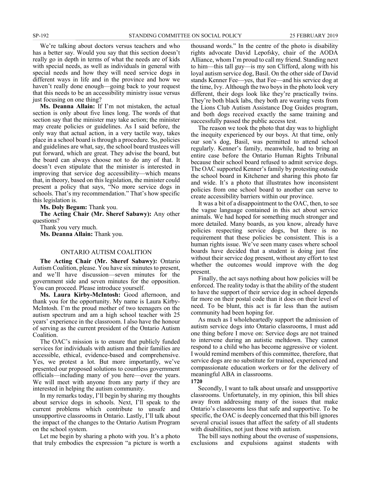We're talking about doctors versus teachers and who has a better say. Would you say that this section doesn't really go in depth in terms of what the needs are of kids with special needs, as well as individuals in general with special needs and how they will need service dogs in different ways in life and in the province and how we haven't really done enough—going back to your request that this needs to be an accessibility ministry issue versus just focusing on one thing?

**Ms. Deanna Allain:** If I'm not mistaken, the actual section is only about five lines long. The words of that section say that the minister may take action; the minister may create policies or guidelines. As I said before, the only way that actual action, in a very tactile way, takes place in a school board is through a procedure. So, policies and guidelines are what, say, the school board trustees will put forward, which are great. They advise the board, but the board can always choose not to do any of that. It doesn't even stipulate that the minister is interested in improving that service dog accessibility—which means that, in theory, based on this legislation, the minister could present a policy that says, "No more service dogs in schools. That's my recommendation." That's how specific this legislation is.

**Ms. Doly Begum:** Thank you.

**The Acting Chair (Mr. Sheref Sabawy):** Any other questions?

Thank you very much.

**Ms. Deanna Allain:** Thank you.

#### ONTARIO AUTISM COALITION

**The Acting Chair (Mr. Sheref Sabawy):** Ontario Autism Coalition, please. You have six minutes to present, and we'll have discussion—seven minutes for the government side and seven minutes for the opposition. You can proceed. Please introduce yourself.

**Ms. Laura Kirby-McIntosh:** Good afternoon, and thank you for the opportunity. My name is Laura Kirby-McIntosh. I'm the proud mother of two teenagers on the autism spectrum and am a high school teacher with 25 years' experience in the classroom. I also have the honour of serving as the current president of the Ontario Autism Coalition.

The OAC's mission is to ensure that publicly funded services for individuals with autism and their families are accessible, ethical, evidence-based and comprehensive. Yes, we protest a lot. But more importantly, we've presented our proposed solutions to countless government officials—including many of you here—over the years. We will meet with anyone from any party if they are interested in helping the autism community.

In my remarks today, I'll begin by sharing my thoughts about service dogs in schools. Next, I'll speak to the current problems which contribute to unsafe and unsupportive classrooms in Ontario. Lastly, I'll talk about the impact of the changes to the Ontario Autism Program on the school system.

Let me begin by sharing a photo with you. It's a photo that truly embodies the expression "a picture is worth a thousand words." In the centre of the photo is disability rights advocate David Lepofsky, chair of the AODA Alliance, whom I'm proud to call my friend. Standing next to him—this tall guy—is my son Clifford, along with his loyal autism service dog, Basil. On the other side of David stands Kenner Fee—yes, that Fee—and his service dog at the time, Ivy. Although the two boys in the photo look very different, their dogs look like they're practically twins. They're both black labs, they both are wearing vests from the Lions Club Autism Assistance Dog Guides program, and both dogs received exactly the same training and successfully passed the public access test.

The reason we took the photo that day was to highlight the inequity experienced by our boys. At that time, only our son's dog, Basil, was permitted to attend school regularly. Kenner's family, meanwhile, had to bring an entire case before the Ontario Human Rights Tribunal because their school board refused to admit service dogs. The OAC supported Kenner's family by protesting outside the school board in Kitchener and sharing this photo far and wide. It's a photo that illustrates how inconsistent policies from one school board to another can serve to create accessibility barriers within our province.

It was a bit of a disappointment to the OAC, then, to see the vague language contained in this act about service animals. We had hoped for something much stronger and more detailed. Many boards, as you know, already have policies respecting service dogs, but there is no requirement that these policies be consistent. This is a human rights issue. We've seen many cases where school boards have decided that a student is doing just fine without their service dog present, without any effort to test whether the outcomes would improve with the dog present.

Finally, the act says nothing about how policies will be enforced. The reality today is that the ability of the student to have the support of their service dog in school depends far more on their postal code than it does on their level of need. To be blunt, this act is far less than the autism community had been hoping for.

As much as I wholeheartedly support the admission of autism service dogs into Ontario classrooms, I must add one thing before I move on: Service dogs are not trained to intervene during an autistic meltdown. They cannot respond to a child who has become aggressive or violent. I would remind members of this committee, therefore, that service dogs are no substitute for trained, experienced and compassionate education workers or for the delivery of meaningful ABA in classrooms.

**1720**

Secondly, I want to talk about unsafe and unsupportive classrooms. Unfortunately, in my opinion, this bill shies away from addressing many of the issues that make Ontario's classrooms less that safe and supportive. To be specific, the OAC is deeply concerned that this bill ignores several crucial issues that affect the safety of all students with disabilities, not just those with autism.

The bill says nothing about the overuse of suspensions, exclusions and expulsions against students with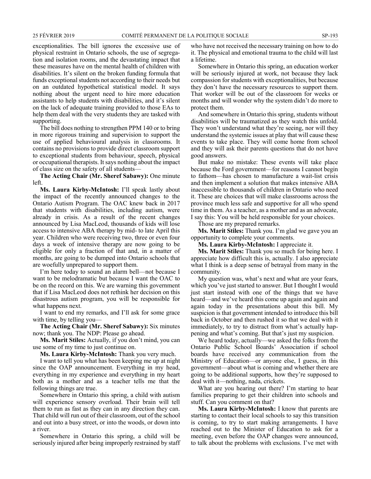exceptionalities. The bill ignores the excessive use of physical restraint in Ontario schools, the use of segregation and isolation rooms, and the devastating impact that these measures have on the mental health of children with disabilities. It's silent on the broken funding formula that funds exceptional students not according to their needs but on an outdated hypothetical statistical model. It says nothing about the urgent need to hire more education assistants to help students with disabilities, and it's silent on the lack of adequate training provided to those EAs to help them deal with the very students they are tasked with supporting.

The bill does nothing to strengthen PPM 140 or to bring in more rigorous training and supervision to support the use of applied behavioural analysis in classrooms. It contains no provisions to provide direct classroom support to exceptional students from behaviour, speech, physical or occupational therapists. It says nothing about the impact of class size on the safety of all students—

**The Acting Chair (Mr. Sheref Sabawy):** One minute left.

**Ms. Laura Kirby-McIntosh:** I'll speak lastly about the impact of the recently announced changes to the Ontario Autism Program. The OAC knew back in 2017 that students with disabilities, including autism, were already in crisis. As a result of the recent changes announced by Lisa MacLeod, thousands of kids will lose access to intensive ABA therapy by mid- to late April this year. Children who were receiving two, three or even four days a week of intensive therapy are now going to be eligible for only a fraction of that and, in a matter of months, are going to be dumped into Ontario schools that are woefully unprepared to support them.

I'm here today to sound an alarm bell—not because I want to be melodramatic but because I want the OAC to be on the record on this. We are warning this government that if Lisa MacLeod does not rethink her decision on this disastrous autism program, you will be responsible for what happens next.

I want to end my remarks, and I'll ask for some grace with time, by telling you—

**The Acting Chair (Mr. Sheref Sabawy):** Six minutes now; thank you. The NDP: Please go ahead.

**Ms. Marit Stiles:** Actually, if you don't mind, you can use some of my time to just continue on.

**Ms. Laura Kirby-McIntosh:** Thank you very much.

I want to tell you what has been keeping me up at night since the OAP announcement. Everything in my head, everything in my experience and everything in my heart both as a mother and as a teacher tells me that the following things are true.

Somewhere in Ontario this spring, a child with autism will experience sensory overload. Their brain will tell them to run as fast as they can in any direction they can. That child will run out of their classroom, out of the school and out into a busy street, or into the woods, or down into a river.

Somewhere in Ontario this spring, a child will be seriously injured after being improperly restrained by staff who have not received the necessary training on how to do it. The physical and emotional trauma to the child will last a lifetime.

Somewhere in Ontario this spring, an education worker will be seriously injured at work, not because they lack compassion for students with exceptionalities, but because they don't have the necessary resources to support them. That worker will be out of the classroom for weeks or months and will wonder why the system didn't do more to protect them.

And somewhere in Ontario this spring, students without disabilities will be traumatized as they watch this unfold. They won't understand what they're seeing, nor will they understand the systemic issues at play that will cause these events to take place. They will come home from school and they will ask their parents questions that do not have good answers.

But make no mistake: These events will take place because the Ford government—for reasons I cannot begin to fathom—has chosen to manufacture a wait-list crisis and then implement a solution that makes intensive ABA inaccessible to thousands of children in Ontario who need it. These are choices that will make classrooms across the province much less safe and supportive for all who spend time in them. As a teacher, as a mother and as an advocate, I say this: You will be held responsible for your choices.

Those are my prepared remarks.

**Ms. Marit Stiles:** Thank you. I'm glad we gave you an opportunity to complete your comments.

**Ms. Laura Kirby-McIntosh:** I appreciate it.

**Ms. Marit Stiles:** Thank you so much for being here. I appreciate how difficult this is, actually. I also appreciate what I think is a deep sense of betrayal from many in the community.

My question was, what's next and what are your fears, which you've just started to answer. But I thought I would just start instead with one of the things that we have heard—and we've heard this come up again and again and again today in the presentations about this bill. My suspicion is that government intended to introduce this bill back in October and then rushed it so that we deal with it immediately, to try to distract from what's actually happening and what's coming. But that's just my suspicion.

We heard today, actually—we asked the folks from the Ontario Public School Boards' Association if school boards have received any communication from the Ministry of Education—or anyone else, I guess, in this government—about what is coming and whether there are going to be additional supports, how they're supposed to deal with it—nothing, nada, crickets.

What are you hearing out there? I'm starting to hear families preparing to get their children into schools and stuff. Can you comment on that?

**Ms. Laura Kirby-McIntosh:** I know that parents are starting to contact their local schools to say this transition is coming, to try to start making arrangements. I have reached out to the Minister of Education to ask for a meeting, even before the OAP changes were announced, to talk about the problems with exclusions. I've met with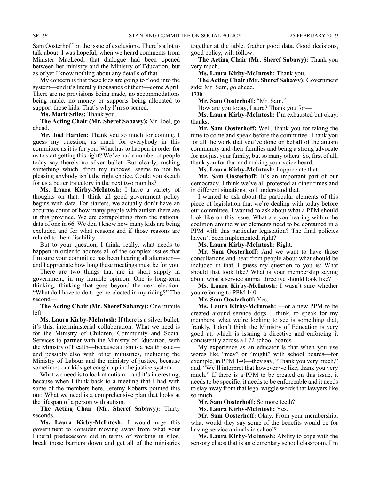Sam Oosterhoff on the issue of exclusions. There's a lot to talk about. I was hopeful, when we heard comments from Minister MacLeod, that dialogue had been opened between her ministry and the Ministry of Education, but as of yet I know nothing about any details of that.

My concern is that these kids are going to flood into the system—and it's literally thousands of them—come April. There are no provisions being made, no accommodations being made, no money or supports being allocated to support those kids. That's why I'm so scared.

**Ms. Marit Stiles:** Thank you.

**The Acting Chair (Mr. Sheref Sabawy):** Mr. Joel, go ahead.

**Mr. Joel Harden:** Thank you so much for coming. I guess my question, as much for everybody in this committee as it is for you: What has to happen in order for us to start getting this right? We've had a number of people today say there's no silver bullet. But clearly, rushing something which, from my inboxes, seems to not be pleasing anybody isn't the right choice. Could you sketch for us a better trajectory in the next two months?

**Ms. Laura Kirby-McIntosh:** I have a variety of thoughts on that. I think all good government policy begins with data. For starters, we actually don't have an accurate count of how many people with autism there are in this province. We are extrapolating from the national data of one in 66. We don't know how many kids are being excluded and for what reasons and if those reasons are related to their disability.

But to your question, I think, really, what needs to happen in order to address all of the complex issues that I'm sure your committee has been hearing all afternoon and I appreciate how long these meetings must be for you.

There are two things that are in short supply in government, in my humble opinion. One is long-term thinking, thinking that goes beyond the next election: "What do I have to do to get re-elected in my riding?" The second—

**The Acting Chair (Mr. Sheref Sabawy):** One minute left.

**Ms. Laura Kirby-McIntosh:** If there is a silver bullet, it's this: interministerial collaboration. What we need is for the Ministry of Children, Community and Social Services to partner with the Ministry of Education, with the Ministry of Health—because autism is a health issue and possibly also with other ministries, including the Ministry of Labour and the ministry of justice, because sometimes our kids get caught up in the justice system.

What we need is to look at autism—and it's interesting, because when I think back to a meeting that I had with some of the members here, Jeremy Roberts pointed this out: What we need is a comprehensive plan that looks at the lifespan of a person with autism.

**The Acting Chair (Mr. Sheref Sabawy):** Thirty seconds.

**Ms. Laura Kirby-McIntosh:** I would urge this government to consider moving away from what your Liberal predecessors did in terms of working in silos, break those barriers down and get all of the ministries

together at the table. Gather good data. Good decisions, good policy, will follow.

**The Acting Chair (Mr. Sheref Sabawy):** Thank you very much.

**Ms. Laura Kirby-McIntosh:** Thank you.

**The Acting Chair (Mr. Sheref Sabawy):** Government side: Mr. Sam, go ahead.

**1730**

**Mr. Sam Oosterhoff:** "Mr. Sam."

How are you today, Laura? Thank you for—

**Ms. Laura Kirby-McIntosh:** I'm exhausted but okay, thanks.

**Mr. Sam Oosterhoff:** Well, thank you for taking the time to come and speak before the committee. Thank you for all the work that you've done on behalf of the autism community and their families and being a strong advocate for not just your family, but so many others. So, first of all, thank you for that and making your voice heard.

**Ms. Laura Kirby-McIntosh:** I appreciate that.

**Mr. Sam Oosterhoff:** It's an important part of our democracy. I think we've all protested at other times and in different situations, so I understand that.

I wanted to ask about the particular elements of this piece of legislation that we're dealing with today before our committee. I wanted to ask about what a PPM should look like on this issue. What are you hearing within the coalition around what elements need to be contained in a PPM with this particular legislation? The final policies haven't been implemented, right?

**Ms. Laura Kirby-McIntosh:** Right.

**Mr. Sam Oosterhoff:** And we want to have those consultations and hear from people about what should be included in that. I guess my question to you is: What should that look like? What is your membership saying about what a service animal directive should look like?

**Ms. Laura Kirby-McIntosh:** I wasn't sure whether you referring to PPM 140—

**Mr. Sam Oosterhoff:** Yes.

**Ms. Laura Kirby-McIntosh:** —or a new PPM to be created around service dogs. I think, to speak for my members, what we're looking to see is something that, frankly, I don't think the Ministry of Education is very good at, which is issuing a directive and enforcing it consistently across all 72 school boards.

My experience as an educator is that when you use words like "may" or "might" with school boards—for example, in PPM 140—they say, "Thank you very much," and, "We'll interpret that however we like, thank you very much." If there is a PPM to be created on this issue, it needs to be specific, it needs to be enforceable and it needs to stay away from that legal wiggle words that lawyers like so much.

**Mr. Sam Oosterhoff:** So more teeth?

**Ms. Laura Kirby-McIntosh:** Yes.

**Mr. Sam Oosterhoff:** Okay. From your membership, what would they say some of the benefits would be for having service animals in school?

**Ms. Laura Kirby-McIntosh:** Ability to cope with the sensory chaos that is an elementary school classroom. I'm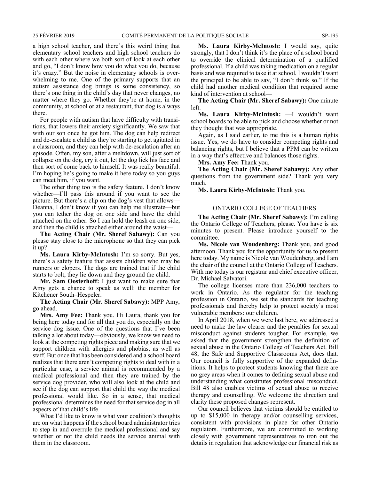a high school teacher, and there's this weird thing that elementary school teachers and high school teachers do with each other where we both sort of look at each other and go, "I don't know how you do what you do, because it's crazy." But the noise in elementary schools is overwhelming to me. One of the primary supports that an autism assistance dog brings is some consistency, so there's one thing in the child's day that never changes, no matter where they go. Whether they're at home, in the community, at school or at a restaurant, that dog is always there.

For people with autism that have difficulty with transitions, that lowers their anxiety significantly. We saw that with our son once he got him. The dog can help redirect and de-escalate a child as they're starting to get agitated in a classroom, and they can help with de-escalation after an episode. Often, my son, after a meltdown, will just sort of collapse on the dog, cry it out, let the dog lick his face and then sort of come back to himself. It was really beautiful. I'm hoping he's going to make it here today so you guys can meet him, if you want.

The other thing too is the safety feature. I don't know whether—I'll pass this around if you want to see the picture. But there's a clip on the dog's vest that allows— Deanna, I don't know if you can help me illustrate—but you can tether the dog on one side and have the child attached on the other. So I can hold the leash on one side, and then the child is attached either around the waist—

**The Acting Chair (Mr. Sheref Sabawy):** Can you please stay close to the microphone so that they can pick it up?

**Ms. Laura Kirby-McIntosh:** I'm so sorry. But yes, there's a safety feature that assists children who may be runners or elopers. The dogs are trained that if the child starts to bolt, they lie down and they ground the child.

**Mr. Sam Oosterhoff:** I just want to make sure that Amy gets a chance to speak as well: the member for Kitchener South–Hespeler.

**The Acting Chair (Mr. Sheref Sabawy):** MPP Amy, go ahead.

**Mrs. Amy Fee:** Thank you. Hi Laura, thank you for being here today and for all that you do, especially on the service dog issue. One of the questions that I've been talking a lot about today—obviously, we know we need to look at the competing rights piece and making sure that we support children with allergies and phobias, as well as staff. But once that has been considered and a school board realizes that there aren't competing rights to deal with in a particular case, a service animal is recommended by a medical professional and then they are trained by the service dog provider, who will also look at the child and see if the dog can support that child the way the medical professional would like. So in a sense, that medical professional determines the need for that service dog in all aspects of that child's life.

What I'd like to know is what your coalition's thoughts are on what happens if the school board administrator tries to step in and overrule the medical professional and say whether or not the child needs the service animal with them in the classroom.

**Ms. Laura Kirby-McIntosh:** I would say, quite strongly, that I don't think it's the place of a school board to override the clinical determination of a qualified professional. If a child was taking medication on a regular basis and was required to take it at school, I wouldn't want the principal to be able to say, "I don't think so." If the child had another medical condition that required some kind of intervention at school—

**The Acting Chair (Mr. Sheref Sabawy):** One minute left.

**Ms. Laura Kirby-McIntosh:** —I wouldn't want school boards to be able to pick and choose whether or not they thought that was appropriate.

Again, as I said earlier, to me this is a human rights issue. Yes, we do have to consider competing rights and balancing rights, but I believe that a PPM can be written in a way that's effective and balances those rights.

**Mrs. Amy Fee:** Thank you.

**The Acting Chair (Mr. Sheref Sabawy):** Any other questions from the government side? Thank you very much.

**Ms. Laura Kirby-McIntosh:** Thank you.

#### ONTARIO COLLEGE OF TEACHERS

**The Acting Chair (Mr. Sheref Sabawy):** I'm calling the Ontario College of Teachers, please. You have is six minutes to present. Please introduce yourself to the committee.

**Ms. Nicole van Woudenberg:** Thank you, and good afternoon. Thank you for the opportunity for us to present here today. My name is Nicole van Woudenberg, and I am the chair of the council at the Ontario College of Teachers. With me today is our registrar and chief executive officer, Dr. Michael Salvatori.

The college licenses more than 236,000 teachers to work in Ontario. As the regulator for the teaching profession in Ontario, we set the standards for teaching professionals and thereby help to protect society's most vulnerable members: our children.

In April 2018, when we were last here, we addressed a need to make the law clearer and the penalties for sexual misconduct against students tougher. For example, we asked that the government strengthen the definition of sexual abuse in the Ontario College of Teachers Act. Bill 48, the Safe and Supportive Classrooms Act, does that. Our council is fully supportive of the expanded definitions. It helps to protect students knowing that there are no grey areas when it comes to defining sexual abuse and understanding what constitutes professional misconduct. Bill 48 also enables victims of sexual abuse to receive therapy and counselling. We welcome the direction and clarity these proposed changes represent.

Our council believes that victims should be entitled to up to \$15,000 in therapy and/or counselling services, consistent with provisions in place for other Ontario regulators. Furthermore, we are committed to working closely with government representatives to iron out the details in regulation that acknowledge our financial risk as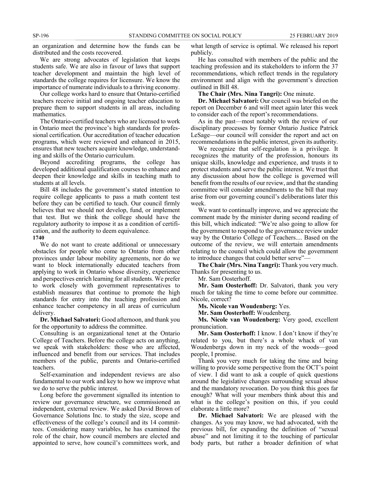an organization and determine how the funds can be distributed and the costs recovered.

We are strong advocates of legislation that keeps students safe. We are also in favour of laws that support teacher development and maintain the high level of standards the college requires for licensure. We know the importance of numerate individuals to a thriving economy.

Our college works hard to ensure that Ontario-certified teachers receive initial and ongoing teacher education to prepare them to support students in all areas, including mathematics.

The Ontario-certified teachers who are licensed to work in Ontario meet the province's high standards for professional certification. Our accreditation of teacher education programs, which were reviewed and enhanced in 2015, ensures that new teachers acquire knowledge, understanding and skills of the Ontario curriculum.

Beyond accrediting programs, the college has developed additional qualification courses to enhance and deepen their knowledge and skills in teaching math to students at all levels.

Bill 48 includes the government's stated intention to require college applicants to pass a math content test before they can be certified to teach. Our council firmly believes that we should not develop, fund, or implement that test. But we think the college should have the regulatory authority to impose it as a condition of certification, and the authority to deem equivalence.

#### **1740**

We do not want to create additional or unnecessary obstacles for people who come to Ontario from other provinces under labour mobility agreements, nor do we want to block internationally educated teachers from applying to work in Ontario whose diversity, experience and perspectives enrich learning for all students. We prefer to work closely with government representatives to establish measures that continue to promote the high standards for entry into the teaching profession and enhance teacher competency in all areas of curriculum delivery.

**Dr. Michael Salvatori:** Good afternoon, and thank you for the opportunity to address the committee.

Consulting is an organizational tenet at the Ontario College of Teachers. Before the college acts on anything, we speak with stakeholders: those who are affected, influenced and benefit from our services. That includes members of the public, parents and Ontario-certified teachers.

Self-examination and independent reviews are also fundamental to our work and key to how we improve what we do to serve the public interest.

Long before the government signalled its intention to review our governance structure, we commissioned an independent, external review. We asked David Brown of Governance Solutions Inc. to study the size, scope and effectiveness of the college's council and its 14 committees. Considering many variables, he has examined the role of the chair, how council members are elected and appointed to serve, how council's committees work, and

what length of service is optimal. We released his report publicly.

He has consulted with members of the public and the teaching profession and its stakeholders to inform the 37 recommendations, which reflect trends in the regulatory environment and align with the government's direction outlined in Bill 48.

**The Chair (Mrs. Nina Tangri):** One minute.

**Dr. Michael Salvatori:** Our council was briefed on the report on December 6 and will meet again later this week to consider each of the report's recommendations.

As in the past—most notably with the review of our disciplinary processes by former Ontario Justice Patrick LeSage—our council will consider the report and act on recommendations in the public interest, given its authority.

We recognize that self-regulation is a privilege. It recognizes the maturity of the profession, honours its unique skills, knowledge and experience, and trusts it to protect students and serve the public interest. We trust that any discussion about how the college is governed will benefit from the results of our review, and that the standing committee will consider amendments to the bill that may arise from our governing council's deliberations later this week.

We want to continually improve, and we appreciate the comment made by the minister during second reading of this bill, which indicated: "We're also going to allow for the government to respond to the governance review under way by the Ontario College of Teachers.... Based on the outcome of the review, we will entertain amendments relating to the council which could allow the government to introduce changes that could better serve"—

**The Chair (Mrs. Nina Tangri):** Thank you very much. Thanks for presenting to us.

Mr. Sam Oosterhoff.

**Mr. Sam Oosterhoff:** Dr. Salvatori, thank you very much for taking the time to come before our committee. Nicole, correct?

**Ms. Nicole van Woudenberg:** Yes.

**Mr. Sam Oosterhoff:** Woudenberg.

**Ms. Nicole van Woudenberg:** Very good, excellent pronunciation.

**Mr. Sam Oosterhoff:** I know. I don't know if they're related to you, but there's a whole whack of van Woudenbergs down in my neck of the woods—good people, I promise.

Thank you very much for taking the time and being willing to provide some perspective from the OCT's point of view. I did want to ask a couple of quick questions around the legislative changes surrounding sexual abuse and the mandatory revocation. Do you think this goes far enough? What will your members think about this and what is the college's position on this, if you could elaborate a little more?

**Dr. Michael Salvatori:** We are pleased with the changes. As you may know, we had advocated, with the previous bill, for expanding the definition of "sexual abuse" and not limiting it to the touching of particular body parts, but rather a broader definition of what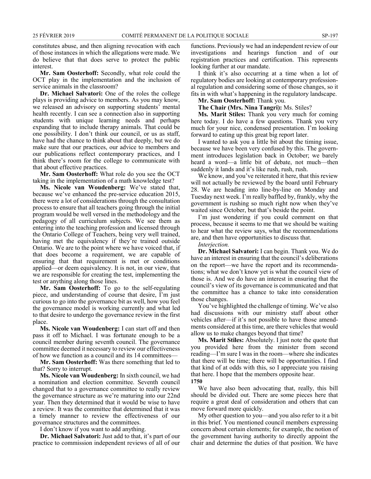constitutes abuse, and then aligning revocation with each of those instances in which the allegations were made. We do believe that that does serve to protect the public interest.

**Mr. Sam Oosterhoff:** Secondly, what role could the OCT play in the implementation and the inclusion of service animals in the classroom?

**Dr. Michael Salvatori:** One of the roles the college plays is providing advice to members. As you may know, we released an advisory on supporting students' mental health recently. I can see a connection also in supporting students with unique learning needs and perhaps expanding that to include therapy animals. That could be one possibility. I don't think our council, or us as staff, have had the chance to think about that deeply, but we do make sure that our practices, our advice to members and our publications reflect contemporary practices, and I think there's room for the college to communicate with that about effective practices.

**Mr. Sam Oosterhoff:** What role do you see the OCT taking in the implementation of a math knowledge test?

**Ms. Nicole van Woudenberg:** We've stated that, because we've enhanced the pre-service education 2015, there were a lot of considerations through the consultation process to ensure that all teachers going through the initial program would be well versed in the methodology and the pedagogy of all curriculum subjects. We see them as entering into the teaching profession and licensed through the Ontario College of Teachers, being very well trained, having met the equivalency if they're trained outside Ontario. We are to the point where we have voiced that, if that does become a requirement, we are capable of ensuring that that requirement is met or conditions applied—or deem equivalency. It is not, in our view, that we are responsible for creating the test, implementing the test or anything along those lines.

**Mr. Sam Oosterhoff:** To go to the self-regulating piece, and understanding of course that desire, I'm just curious to go into the governance bit as well, how you feel the governance model is working currently and what led to that desire to undergo the governance review in the first place.

**Ms. Nicole van Woudenberg:** I can start off and then pass it off to Michael. I was fortunate enough to be a council member during seventh council. The governance committee deemed it necessary to review our effectiveness of how we function as a council and its 14 committees—

**Mr. Sam Oosterhoff:** Was there something that led to that? Sorry to interrupt.

**Ms. Nicole van Woudenberg:** In sixth council, we had a nomination and election committee. Seventh council changed that to a governance committee to really review the governance structure as we're maturing into our 22nd year. Then they determined that it would be wise to have a review. It was the committee that determined that it was a timely manner to review the effectiveness of our governance structures and the committees.

I don't know if you want to add anything.

**Dr. Michael Salvatori:** Just add to that, it's part of our practice to commission independent reviews of all of our

functions. Previously we had an independent review of our investigations and hearings function and of our registration practices and certification. This represents looking further at our mandate.

I think it's also occurring at a time when a lot of regulatory bodies are looking at contemporary professional regulation and considering some of those changes, so it fits in with what's happening in the regulatory landscape.

**Mr. Sam Oosterhoff:** Thank you.

**The Chair (Mrs. Nina Tangri):** Ms. Stiles?

**Ms. Marit Stiles:** Thank you very much for coming here today. I do have a few questions. Thank you very much for your nice, condensed presentation. I'm looking forward to eating up this great big report later.

I wanted to ask you a little bit about the timing issue, because we have been very confused by this. The government introduces legislation back in October; we barely heard a word—a little bit of debate, not much—then suddenly it lands and it's like rush, rush, rush.

We know, and you've reiterated it here, that this review will not actually be reviewed by the board until February 28. We are heading into line-by-line on Monday and Tuesday next week. I'm really baffled by, frankly, why the government is rushing so much right now when they've waited since October, but that's beside the point.

I'm just wondering if you could comment on that process, because it seems to me that we should be waiting to hear what the review says, what the recommendations are, and then have opportunities to discuss that.

*Interjection.*

**Dr. Michael Salvatori:** I can begin. Thank you. We do have an interest in ensuring that the council's deliberations on the report—we have the report and its recommendations; what we don't know yet is what the council view of those is. And we do have an interest in ensuring that the council's view of its governance is communicated and that the committee has a chance to take into consideration those changes.

You've highlighted the challenge of timing. We've also had discussions with our ministry staff about other vehicles after—if it's not possible to have those amendments considered at this time, are there vehicles that would allow us to make changes beyond that time?

**Ms. Marit Stiles:** Absolutely. I just note the quote that you provided here from the minister from second reading—I'm sure I was in the room—where she indicates that there will be time; there will be opportunities. I find that kind of at odds with this, so I appreciate you raising that here. I hope that the members opposite hear. **1750**

We have also been advocating that, really, this bill should be divided out. There are some pieces here that require a great deal of consideration and others that can move forward more quickly.

My other question to you—and you also refer to it a bit in this brief. You mentioned council members expressing concern about certain elements; for example, the notion of the government having authority to directly appoint the chair and determine the duties of that position. We have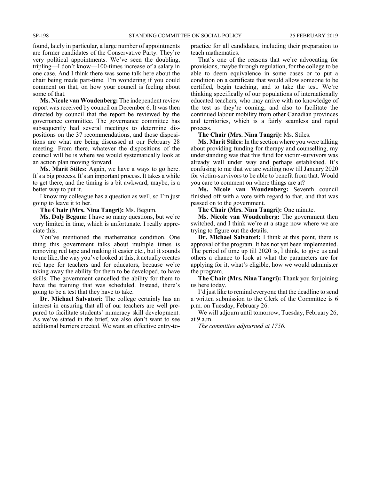found, lately in particular, a large number of appointments are former candidates of the Conservative Party. They're very political appointments. We've seen the doubling, tripling—I don't know—100-times increase of a salary in one case. And I think there was some talk here about the chair being made part-time. I'm wondering if you could comment on that, on how your council is feeling about some of that.

**Ms. Nicole van Woudenberg:** The independent review report was received by council on December 6. It was then directed by council that the report be reviewed by the governance committee. The governance committee has subsequently had several meetings to determine dispositions on the 37 recommendations, and those dispositions are what are being discussed at our February 28 meeting. From there, whatever the dispositions of the council will be is where we would systematically look at an action plan moving forward.

**Ms. Marit Stiles:** Again, we have a ways to go here. It's a big process. It's an important process. It takes a while to get there, and the timing is a bit awkward, maybe, is a better way to put it.

I know my colleague has a question as well, so I'm just going to leave it to her.

### **The Chair (Mrs. Nina Tangri):** Ms. Begum.

**Ms. Doly Begum:** I have so many questions, but we're very limited in time, which is unfortunate. I really appreciate this.

You've mentioned the mathematics condition. One thing this government talks about multiple times is removing red tape and making it easier etc., but it sounds to me like, the way you've looked at this, it actually creates red tape for teachers and for educators, because we're taking away the ability for them to be developed, to have skills. The government cancelled the ability for them to have the training that was scheduled. Instead, there's going to be a test that they have to take.

**Dr. Michael Salvatori:** The college certainly has an interest in ensuring that all of our teachers are well prepared to facilitate students' numeracy skill development. As we've stated in the brief, we also don't want to see additional barriers erected. We want an effective entry-topractice for all candidates, including their preparation to teach mathematics.

That's one of the reasons that we're advocating for provisions, maybe through regulation, for the college to be able to deem equivalence in some cases or to put a condition on a certificate that would allow someone to be certified, begin teaching, and to take the test. We're thinking specifically of our populations of internationally educated teachers, who may arrive with no knowledge of the test as they're coming, and also to facilitate the continued labour mobility from other Canadian provinces and territories, which is a fairly seamless and rapid process.

**The Chair (Mrs. Nina Tangri):** Ms. Stiles.

**Ms. Marit Stiles:** In the section where you were talking about providing funding for therapy and counselling, my understanding was that this fund for victim-survivors was already well under way and perhaps established. It's confusing to me that we are waiting now till January 2020 for victim-survivors to be able to benefit from that. Would you care to comment on where things are at?

**Ms. Nicole van Woudenberg:** Seventh council finished off with a vote with regard to that, and that was passed on to the government.

**The Chair (Mrs. Nina Tangri):** One minute.

**Ms. Nicole van Woudenberg:** The government then switched, and I think we're at a stage now where we are trying to figure out the details.

**Dr. Michael Salvatori:** I think at this point, there is approval of the program. It has not yet been implemented. The period of time up till 2020 is, I think, to give us and others a chance to look at what the parameters are for applying for it, what's eligible, how we would administer the program.

**The Chair (Mrs. Nina Tangri):** Thank you for joining us here today.

I'd just like to remind everyone that the deadline to send a written submission to the Clerk of the Committee is 6 p.m. on Tuesday, February 26.

We will adjourn until tomorrow, Tuesday, February 26, at 9 a.m.

*The committee adjourned at 1756.*